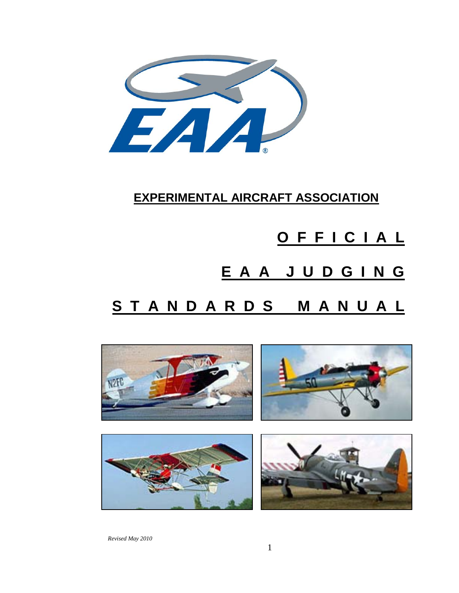

### **EXPERIMENTAL AIRCRAFT ASSOCIATION**

# **O F F I C I A L E A A J U D G I N G**

## **S T A N D A R D S M A N U A L**



*Revised May 2010*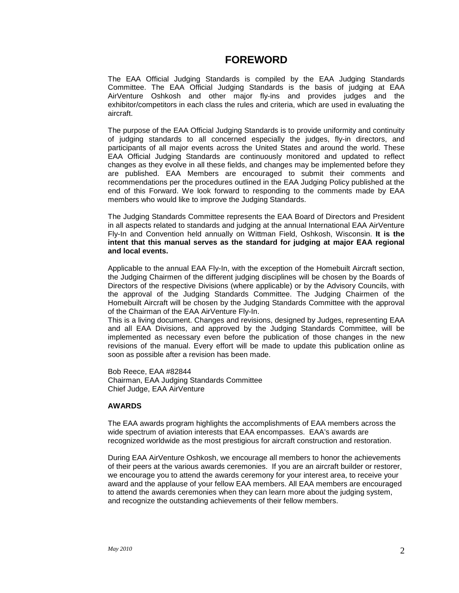#### **FOREWORD**

The EAA Official Judging Standards is compiled by the EAA Judging Standards Committee. The EAA Official Judging Standards is the basis of judging at EAA AirVenture Oshkosh and other major fly-ins and provides judges and the exhibitor/competitors in each class the rules and criteria, which are used in evaluating the aircraft.

The purpose of the EAA Official Judging Standards is to provide uniformity and continuity of judging standards to all concerned especially the judges, fly-in directors, and participants of all major events across the United States and around the world. These EAA Official Judging Standards are continuously monitored and updated to reflect changes as they evolve in all these fields, and changes may be implemented before they are published. EAA Members are encouraged to submit their comments and recommendations per the procedures outlined in the EAA Judging Policy published at the end of this Forward. We look forward to responding to the comments made by EAA members who would like to improve the Judging Standards.

The Judging Standards Committee represents the EAA Board of Directors and President in all aspects related to standards and judging at the annual International EAA AirVenture Fly-In and Convention held annually on Wittman Field, Oshkosh, Wisconsin. **It is the intent that this manual serves as the standard for judging at major EAA regional and local events.**

Applicable to the annual EAA Fly-In, with the exception of the Homebuilt Aircraft section, the Judging Chairmen of the different judging disciplines will be chosen by the Boards of Directors of the respective Divisions (where applicable) or by the Advisory Councils, with the approval of the Judging Standards Committee. The Judging Chairmen of the Homebuilt Aircraft will be chosen by the Judging Standards Committee with the approval of the Chairman of the EAA AirVenture Fly-In.

This is a living document. Changes and revisions, designed by Judges, representing EAA and all EAA Divisions, and approved by the Judging Standards Committee, will be implemented as necessary even before the publication of those changes in the new revisions of the manual. Every effort will be made to update this publication online as soon as possible after a revision has been made.

Bob Reece, EAA #82844 Chairman, EAA Judging Standards Committee Chief Judge, EAA AirVenture

#### **AWARDS**

The EAA awards program highlights the accomplishments of EAA members across the wide spectrum of aviation interests that EAA encompasses. EAA's awards are recognized worldwide as the most prestigious for aircraft construction and restoration.

During EAA AirVenture Oshkosh, we encourage all members to honor the achievements of their peers at the various awards ceremonies. If you are an aircraft builder or restorer, we encourage you to attend the awards ceremony for your interest area, to receive your award and the applause of your fellow EAA members. All EAA members are encouraged to attend the awards ceremonies when they can learn more about the judging system, and recognize the outstanding achievements of their fellow members.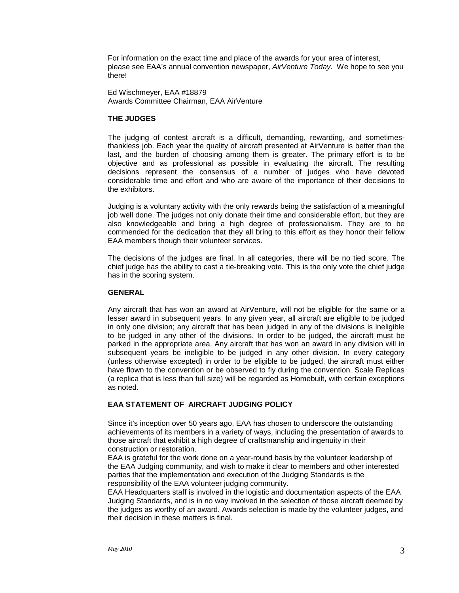For information on the exact time and place of the awards for your area of interest, please see EAA's annual convention newspaper, *AirVenture Today*. We hope to see you there!

Ed Wischmeyer, EAA #18879 Awards Committee Chairman, EAA AirVenture

#### **THE JUDGES**

The judging of contest aircraft is a difficult, demanding, rewarding, and sometimesthankless job. Each year the quality of aircraft presented at AirVenture is better than the last, and the burden of choosing among them is greater. The primary effort is to be objective and as professional as possible in evaluating the aircraft. The resulting decisions represent the consensus of a number of judges who have devoted considerable time and effort and who are aware of the importance of their decisions to the exhibitors.

Judging is a voluntary activity with the only rewards being the satisfaction of a meaningful job well done. The judges not only donate their time and considerable effort, but they are also knowledgeable and bring a high degree of professionalism. They are to be commended for the dedication that they all bring to this effort as they honor their fellow EAA members though their volunteer services.

The decisions of the judges are final. In all categories, there will be no tied score. The chief judge has the ability to cast a tie-breaking vote. This is the only vote the chief judge has in the scoring system.

#### **GENERAL**

Any aircraft that has won an award at AirVenture, will not be eligible for the same or a lesser award in subsequent years. In any given year, all aircraft are eligible to be judged in only one division; any aircraft that has been judged in any of the divisions is ineligible to be judged in any other of the divisions. In order to be judged, the aircraft must be parked in the appropriate area. Any aircraft that has won an award in any division will in subsequent years be ineligible to be judged in any other division. In every category (unless otherwise excepted) in order to be eligible to be judged, the aircraft must either have flown to the convention or be observed to fly during the convention. Scale Replicas (a replica that is less than full size) will be regarded as Homebuilt, with certain exceptions as noted.

#### **EAA STATEMENT OF AIRCRAFT JUDGING POLICY**

Since it's inception over 50 years ago, EAA has chosen to underscore the outstanding achievements of its members in a variety of ways, including the presentation of awards to those aircraft that exhibit a high degree of craftsmanship and ingenuity in their construction or restoration.

EAA is grateful for the work done on a year-round basis by the volunteer leadership of the EAA Judging community, and wish to make it clear to members and other interested parties that the implementation and execution of the Judging Standards is the responsibility of the EAA volunteer judging community.

EAA Headquarters staff is involved in the logistic and documentation aspects of the EAA Judging Standards, and is in no way involved in the selection of those aircraft deemed by the judges as worthy of an award. Awards selection is made by the volunteer judges, and their decision in these matters is final.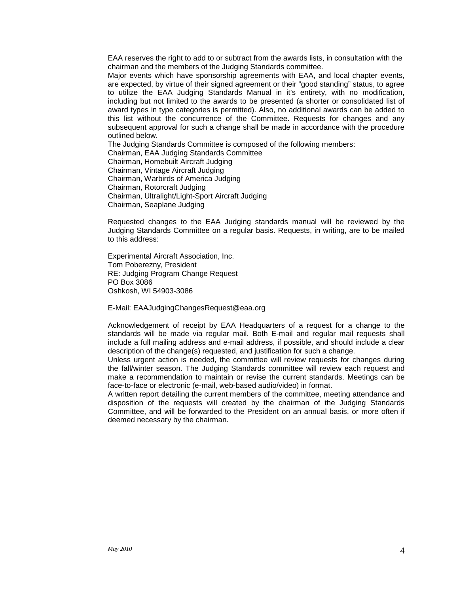EAA reserves the right to add to or subtract from the awards lists, in consultation with the chairman and the members of the Judging Standards committee.

Major events which have sponsorship agreements with EAA, and local chapter events, are expected, by virtue of their signed agreement or their "good standing" status, to agree to utilize the EAA Judging Standards Manual in it's entirety, with no modification, including but not limited to the awards to be presented (a shorter or consolidated list of award types in type categories is permitted). Also, no additional awards can be added to this list without the concurrence of the Committee. Requests for changes and any subsequent approval for such a change shall be made in accordance with the procedure outlined below.

The Judging Standards Committee is composed of the following members: Chairman, EAA Judging Standards Committee Chairman, Homebuilt Aircraft Judging Chairman, Vintage Aircraft Judging Chairman, Warbirds of America Judging Chairman, Rotorcraft Judging Chairman, Ultralight/Light-Sport Aircraft Judging Chairman, Seaplane Judging

Requested changes to the EAA Judging standards manual will be reviewed by the Judging Standards Committee on a regular basis. Requests, in writing, are to be mailed to this address:

Experimental Aircraft Association, Inc. Tom Poberezny, President RE: Judging Program Change Request PO Box 3086 Oshkosh, WI 54903-3086

E-Mail: EAAJudgingChangesRequest@eaa.org

Acknowledgement of receipt by EAA Headquarters of a request for a change to the standards will be made via regular mail. Both E-mail and regular mail requests shall include a full mailing address and e-mail address, if possible, and should include a clear description of the change(s) requested, and justification for such a change.

Unless urgent action is needed, the committee will review requests for changes during the fall/winter season. The Judging Standards committee will review each request and make a recommendation to maintain or revise the current standards. Meetings can be face-to-face or electronic (e-mail, web-based audio/video) in format.

A written report detailing the current members of the committee, meeting attendance and disposition of the requests will created by the chairman of the Judging Standards Committee, and will be forwarded to the President on an annual basis, or more often if deemed necessary by the chairman.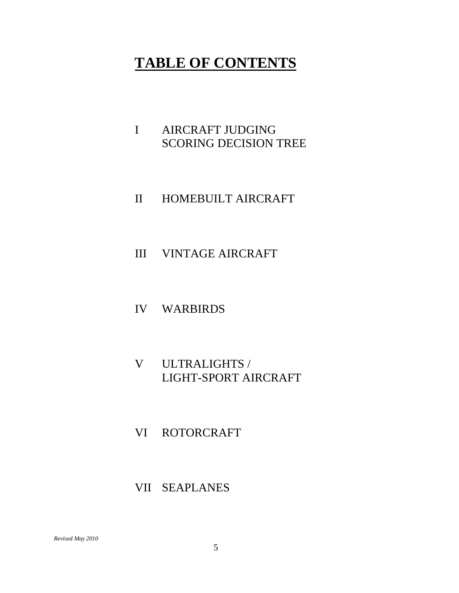### **TABLE OF CONTENTS**

- I AIRCRAFT JUDGING SCORING DECISION TREE
- II HOMEBUILT AIRCRAFT
- III VINTAGE AIRCRAFT
- IV WARBIRDS
- V ULTRALIGHTS / LIGHT-SPORT AIRCRAFT
- VI ROTORCRAFT
- VII SEAPLANES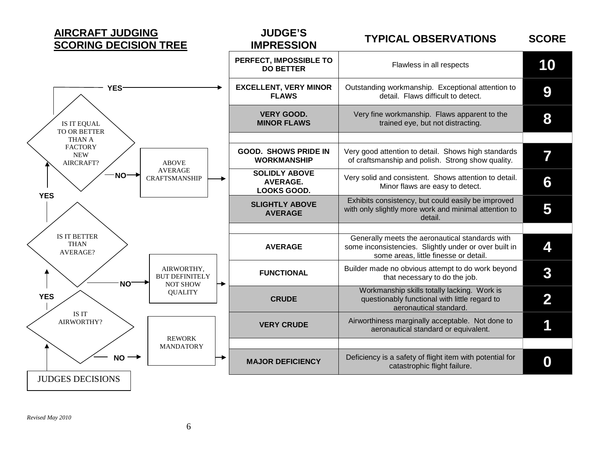

#### **IMPRESSION TYPICAL OBSERVATIONS SCORE**

|                                           |                                                        | PERFECT, IMPOSSIBLE TO<br><b>DO BETTER</b>                    | Flawless in all respects                                                                                                                          | 10               |
|-------------------------------------------|--------------------------------------------------------|---------------------------------------------------------------|---------------------------------------------------------------------------------------------------------------------------------------------------|------------------|
| YES <sup>-</sup>                          |                                                        | <b>EXCELLENT, VERY MINOR</b><br><b>FLAWS</b>                  | Outstanding workmanship. Exceptional attention to<br>detail. Flaws difficult to detect.                                                           | 9                |
| IS IT EQUAL<br>TO OR BETTER               |                                                        | <b>VERY GOOD.</b><br><b>MINOR FLAWS</b>                       | Very fine workmanship. Flaws apparent to the<br>trained eye, but not distracting.                                                                 | 8                |
| THAN A                                    |                                                        |                                                               |                                                                                                                                                   |                  |
| <b>FACTORY</b><br><b>NEW</b><br>AIRCRAFT? | <b>ABOVE</b>                                           | <b>GOOD. SHOWS PRIDE IN</b><br><b>WORKMANSHIP</b>             | Very good attention to detail. Shows high standards<br>of craftsmanship and polish. Strong show quality.                                          | 7                |
| $NO \rightarrow$<br><b>YES</b>            | <b>AVERAGE</b><br><b>CRAFTSMANSHIP</b>                 | <b>SOLIDLY ABOVE</b><br><b>AVERAGE.</b><br><b>LOOKS GOOD.</b> | Very solid and consistent. Shows attention to detail.<br>Minor flaws are easy to detect.                                                          | 6                |
|                                           |                                                        | <b>SLIGHTLY ABOVE</b><br><b>AVERAGE</b>                       | Exhibits consistency, but could easily be improved<br>with only slightly more work and minimal attention to<br>detail.                            | 5                |
| IS IT BETTER                              |                                                        |                                                               |                                                                                                                                                   |                  |
| <b>THAN</b><br><b>AVERAGE?</b>            |                                                        | <b>AVERAGE</b>                                                | Generally meets the aeronautical standards with<br>some inconsistencies. Slightly under or over built in<br>some areas, little finesse or detail. | 4                |
| NO <sup>-</sup>                           | AIRWORTHY,<br><b>BUT DEFINITELY</b><br><b>NOT SHOW</b> | <b>FUNCTIONAL</b>                                             | Builder made no obvious attempt to do work beyond<br>that necessary to do the job.                                                                | 3                |
| <b>YES</b>                                | <b>QUALITY</b>                                         | <b>CRUDE</b>                                                  | Workmanship skills totally lacking. Work is<br>questionably functional with little regard to<br>aeronautical standard.                            | 2                |
| IS IT<br>AIRWORTHY?                       | <b>REWORK</b>                                          | <b>VERY CRUDE</b>                                             | Airworthiness marginally acceptable. Not done to<br>aeronautical standard or equivalent.                                                          |                  |
|                                           | <b>MANDATORY</b>                                       |                                                               |                                                                                                                                                   |                  |
| $NO \rightarrow$                          |                                                        | <b>MAJOR DEFICIENCY</b>                                       | Deficiency is a safety of flight item with potential for<br>catastrophic flight failure.                                                          | $\boldsymbol{0}$ |
| <b>JUDGES DECISIONS</b>                   |                                                        |                                                               |                                                                                                                                                   |                  |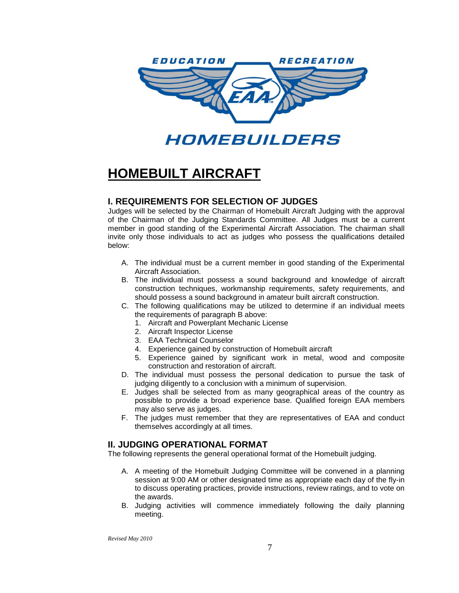

HOMEBUILDERS

### **HOMEBUILT AIRCRAFT**

#### **I. REQUIREMENTS FOR SELECTION OF JUDGES**

Judges will be selected by the Chairman of Homebuilt Aircraft Judging with the approval of the Chairman of the Judging Standards Committee. All Judges must be a current member in good standing of the Experimental Aircraft Association. The chairman shall invite only those individuals to act as judges who possess the qualifications detailed below:

- A. The individual must be a current member in good standing of the Experimental Aircraft Association.
- B. The individual must possess a sound background and knowledge of aircraft construction techniques, workmanship requirements, safety requirements, and should possess a sound background in amateur built aircraft construction.
- C. The following qualifications may be utilized to determine if an individual meets the requirements of paragraph B above:
	- 1. Aircraft and Powerplant Mechanic License
	- 2. Aircraft Inspector License
	- 3. EAA Technical Counselor
	- 4. Experience gained by construction of Homebuilt aircraft
	- 5. Experience gained by significant work in metal, wood and composite construction and restoration of aircraft.
- D. The individual must possess the personal dedication to pursue the task of judging diligently to a conclusion with a minimum of supervision.
- E. Judges shall be selected from as many geographical areas of the country as possible to provide a broad experience base. Qualified foreign EAA members may also serve as judges.
- F. The judges must remember that they are representatives of EAA and conduct themselves accordingly at all times.

#### **II. JUDGING OPERATIONAL FORMAT**

The following represents the general operational format of the Homebuilt judging.

- A. A meeting of the Homebuilt Judging Committee will be convened in a planning session at 9:00 AM or other designated time as appropriate each day of the fly-in to discuss operating practices, provide instructions, review ratings, and to vote on the awards.
- B. Judging activities will commence immediately following the daily planning meeting.

*Revised May 2010*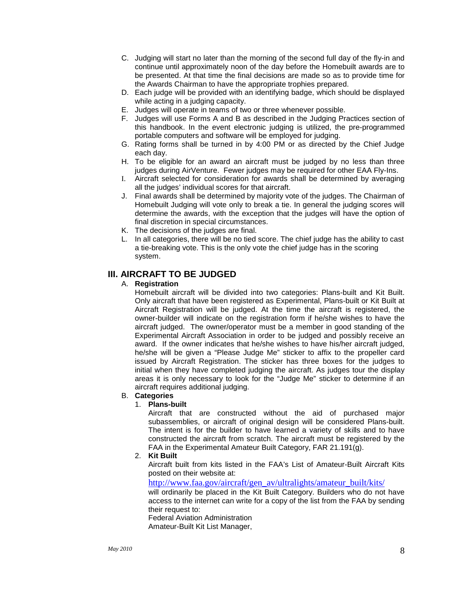- C. Judging will start no later than the morning of the second full day of the fly-in and continue until approximately noon of the day before the Homebuilt awards are to be presented. At that time the final decisions are made so as to provide time for the Awards Chairman to have the appropriate trophies prepared.
- D. Each judge will be provided with an identifying badge, which should be displayed while acting in a judging capacity.
- E. Judges will operate in teams of two or three whenever possible.
- F. Judges will use Forms A and B as described in the Judging Practices section of this handbook. In the event electronic judging is utilized, the pre-programmed portable computers and software will be employed for judging.
- G. Rating forms shall be turned in by 4:00 PM or as directed by the Chief Judge each day.
- H. To be eligible for an award an aircraft must be judged by no less than three judges during AirVenture. Fewer judges may be required for other EAA Fly-Ins.
- I. Aircraft selected for consideration for awards shall be determined by averaging all the judges' individual scores for that aircraft.
- J. Final awards shall be determined by majority vote of the judges. The Chairman of Homebuilt Judging will vote only to break a tie. In general the judging scores will determine the awards, with the exception that the judges will have the option of final discretion in special circumstances.
- K. The decisions of the judges are final.
- L. In all categories, there will be no tied score. The chief judge has the ability to cast a tie-breaking vote. This is the only vote the chief judge has in the scoring system.

#### **III. AIRCRAFT TO BE JUDGED**

#### A. **Registration**

Homebuilt aircraft will be divided into two categories: Plans-built and Kit Built. Only aircraft that have been registered as Experimental, Plans-built or Kit Built at Aircraft Registration will be judged. At the time the aircraft is registered, the owner-builder will indicate on the registration form if he/she wishes to have the aircraft judged. The owner/operator must be a member in good standing of the Experimental Aircraft Association in order to be judged and possibly receive an award. If the owner indicates that he/she wishes to have his/her aircraft judged, he/she will be given a "Please Judge Me" sticker to affix to the propeller card issued by Aircraft Registration. The sticker has three boxes for the judges to initial when they have completed judging the aircraft. As judges tour the display areas it is only necessary to look for the "Judge Me" sticker to determine if an aircraft requires additional judging.

#### B. **Categories**

#### 1. **Plans-built**

Aircraft that are constructed without the aid of purchased major subassemblies, or aircraft of original design will be considered Plans-built. The intent is for the builder to have learned a variety of skills and to have constructed the aircraft from scratch. The aircraft must be registered by the FAA in the Experimental Amateur Built Category, FAR 21.191(g).

2. **Kit Built**

Aircraft built from kits listed in the FAA's List of Amateur-Built Aircraft Kits posted on their website at:

[http://www.faa.gov/aircraft/gen\\_av/ultralights/amateur\\_built/kits/](http://www.faa.gov/aircraft/gen_av/ultralights/amateur_built/kits/)

will ordinarily be placed in the Kit Built Category. Builders who do not have access to the internet can write for a copy of the list from the FAA by sending their request to:

Federal Aviation Administration

Amateur-Built Kit List Manager,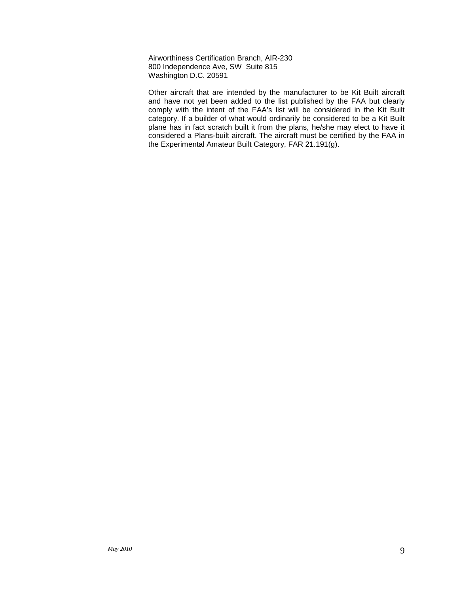Airworthiness Certification Branch, AIR-230 800 Independence Ave, SW Suite 815 Washington D.C. 20591

Other aircraft that are intended by the manufacturer to be Kit Built aircraft and have not yet been added to the list published by the FAA but clearly comply with the intent of the FAA's list will be considered in the Kit Built category. If a builder of what would ordinarily be considered to be a Kit Built plane has in fact scratch built it from the plans, he/she may elect to have it considered a Plans-built aircraft. The aircraft must be certified by the FAA in the Experimental Amateur Built Category, FAR 21.191(g).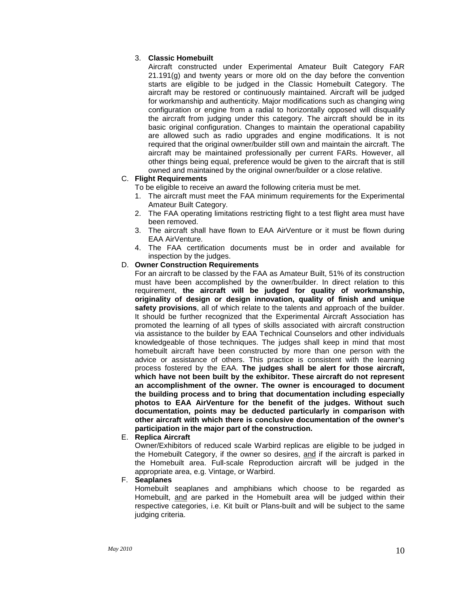#### 3. **Classic Homebuilt**

Aircraft constructed under Experimental Amateur Built Category FAR  $21.191(q)$  and twenty years or more old on the day before the convention starts are eligible to be judged in the Classic Homebuilt Category. The aircraft may be restored or continuously maintained. Aircraft will be judged for workmanship and authenticity. Major modifications such as changing wing configuration or engine from a radial to horizontally opposed will disqualify the aircraft from judging under this category. The aircraft should be in its basic original configuration. Changes to maintain the operational capability are allowed such as radio upgrades and engine modifications. It is not required that the original owner/builder still own and maintain the aircraft. The aircraft may be maintained professionally per current FARs. However, all other things being equal, preference would be given to the aircraft that is still owned and maintained by the original owner/builder or a close relative.

#### C. **Flight Requirements**

To be eligible to receive an award the following criteria must be met.

- 1. The aircraft must meet the FAA minimum requirements for the Experimental Amateur Built Category.
- 2. The FAA operating limitations restricting flight to a test flight area must have been removed.
- 3. The aircraft shall have flown to EAA AirVenture or it must be flown during EAA AirVenture.
- 4. The FAA certification documents must be in order and available for inspection by the judges.

#### D. **Owner Construction Requirements**

For an aircraft to be classed by the FAA as Amateur Built, 51% of its construction must have been accomplished by the owner/builder. In direct relation to this requirement, **the aircraft will be judged for quality of workmanship, originality of design or design innovation, quality of finish and unique safety provisions**, all of which relate to the talents and approach of the builder. It should be further recognized that the Experimental Aircraft Association has promoted the learning of all types of skills associated with aircraft construction via assistance to the builder by EAA Technical Counselors and other individuals knowledgeable of those techniques. The judges shall keep in mind that most homebuilt aircraft have been constructed by more than one person with the advice or assistance of others. This practice is consistent with the learning process fostered by the EAA. **The judges shall be alert for those aircraft, which have not been built by the exhibitor. These aircraft do not represent an accomplishment of the owner. The owner is encouraged to document the building process and to bring that documentation including especially photos to EAA AirVenture for the benefit of the judges. Without such documentation, points may be deducted particularly in comparison with other aircraft with which there is conclusive documentation of the owner's participation in the major part of the construction.**

#### E. **Replica Aircraft**

Owner/Exhibitors of reduced scale Warbird replicas are eligible to be judged in the Homebuilt Category, if the owner so desires, and if the aircraft is parked in the Homebuilt area. Full-scale Reproduction aircraft will be judged in the appropriate area, e.g. Vintage, or Warbird.

F. **Seaplanes**

Homebuilt seaplanes and amphibians which choose to be regarded as Homebuilt, and are parked in the Homebuilt area will be judged within their respective categories, i.e. Kit built or Plans-built and will be subject to the same judging criteria.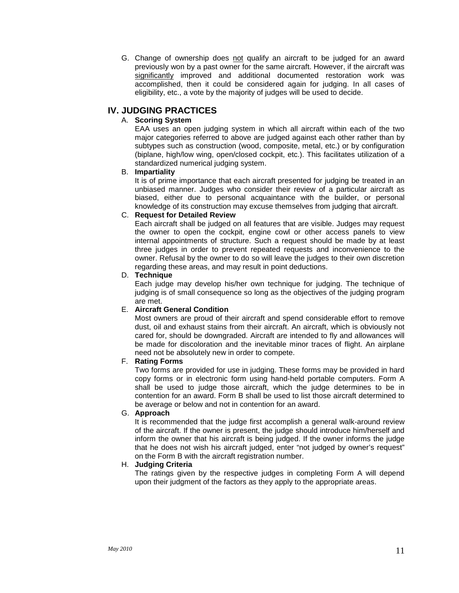G. Change of ownership does not qualify an aircraft to be judged for an award previously won by a past owner for the same aircraft. However, if the aircraft was significantly improved and additional documented restoration work was accomplished, then it could be considered again for judging. In all cases of eligibility, etc., a vote by the majority of judges will be used to decide.

#### **IV. JUDGING PRACTICES**

#### A. **Scoring System**

EAA uses an open judging system in which all aircraft within each of the two major categories referred to above are judged against each other rather than by subtypes such as construction (wood, composite, metal, etc.) or by configuration (biplane, high/low wing, open/closed cockpit, etc.). This facilitates utilization of a standardized numerical judging system.

#### B. **Impartiality**

It is of prime importance that each aircraft presented for judging be treated in an unbiased manner. Judges who consider their review of a particular aircraft as biased, either due to personal acquaintance with the builder, or personal knowledge of its construction may excuse themselves from judging that aircraft.

#### C. **Request for Detailed Review**

Each aircraft shall be judged on all features that are visible. Judges may request the owner to open the cockpit, engine cowl or other access panels to view internal appointments of structure. Such a request should be made by at least three judges in order to prevent repeated requests and inconvenience to the owner. Refusal by the owner to do so will leave the judges to their own discretion regarding these areas, and may result in point deductions.

#### D. **Technique**

Each judge may develop his/her own technique for judging. The technique of judging is of small consequence so long as the objectives of the judging program are met.

#### E. **Aircraft General Condition**

Most owners are proud of their aircraft and spend considerable effort to remove dust, oil and exhaust stains from their aircraft. An aircraft, which is obviously not cared for, should be downgraded. Aircraft are intended to fly and allowances will be made for discoloration and the inevitable minor traces of flight. An airplane need not be absolutely new in order to compete.

#### F. **Rating Forms**

Two forms are provided for use in judging. These forms may be provided in hard copy forms or in electronic form using hand-held portable computers. Form A shall be used to judge those aircraft, which the judge determines to be in contention for an award. Form B shall be used to list those aircraft determined to be average or below and not in contention for an award.

#### G. **Approach**

It is recommended that the judge first accomplish a general walk-around review of the aircraft. If the owner is present, the judge should introduce him/herself and inform the owner that his aircraft is being judged. If the owner informs the judge that he does not wish his aircraft judged, enter "not judged by owner's request" on the Form B with the aircraft registration number.

#### H. **Judging Criteria**

The ratings given by the respective judges in completing Form A will depend upon their judgment of the factors as they apply to the appropriate areas.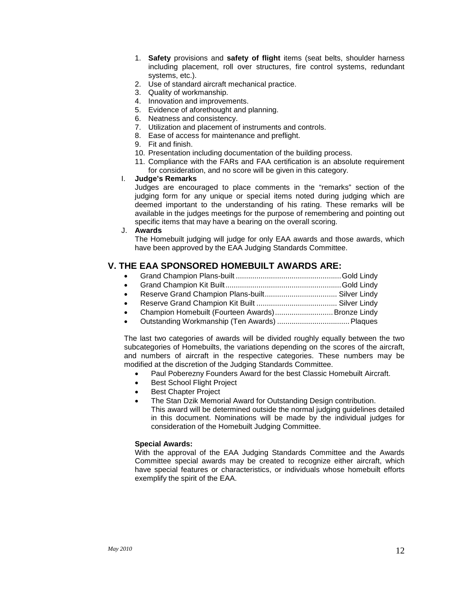- 1. **Safety** provisions and **safety of flight** items (seat belts, shoulder harness including placement, roll over structures, fire control systems, redundant systems, etc.).
- 2. Use of standard aircraft mechanical practice.
- 3. Quality of workmanship.
- 4. Innovation and improvements.
- 5. Evidence of aforethought and planning.
- 6. Neatness and consistency.
- 7. Utilization and placement of instruments and controls.
- 8. Ease of access for maintenance and preflight.
- 9. Fit and finish.
- 10. Presentation including documentation of the building process.
- 11. Compliance with the FARs and FAA certification is an absolute requirement for consideration, and no score will be given in this category.
- I. **Judge's Remarks**

Judges are encouraged to place comments in the "remarks" section of the judging form for any unique or special items noted during judging which are deemed important to the understanding of his rating. These remarks will be available in the judges meetings for the purpose of remembering and pointing out specific items that may have a bearing on the overall scoring.

#### J. **Awards**

The Homebuilt judging will judge for only EAA awards and those awards, which have been approved by the EAA Judging Standards Committee.

#### **V. THE EAA SPONSORED HOMEBUILT AWARDS ARE:**

| $\sim$ $\sim$ $\sim$ $\sim$ $\sim$ $\sim$ $\sim$ $\sim$ |  |
|---------------------------------------------------------|--|

- Grand Champion Kit Built........................................................Gold Lindy
- Reserve Grand Champion Plans-built................................... Silver Lindy
- Reserve Grand Champion Kit Built ....................................... Silver Lindy
- Champion Homebuilt (Fourteen Awards)............................Bronze Lindy
- Outstanding Workmanship (Ten Awards) ...................................Plaques

The last two categories of awards will be divided roughly equally between the two subcategories of Homebuilts, the variations depending on the scores of the aircraft, and numbers of aircraft in the respective categories. These numbers may be modified at the discretion of the Judging Standards Committee.

- Paul Poberezny Founders Award for the best Classic Homebuilt Aircraft.
- Best School Flight Project
- Best Chapter Project
- The Stan Dzik Memorial Award for Outstanding Design contribution. This award will be determined outside the normal judging guidelines detailed in this document. Nominations will be made by the individual judges for consideration of the Homebuilt Judging Committee.

#### **Special Awards:**

With the approval of the EAA Judging Standards Committee and the Awards Committee special awards may be created to recognize either aircraft, which have special features or characteristics, or individuals whose homebuilt efforts exemplify the spirit of the EAA.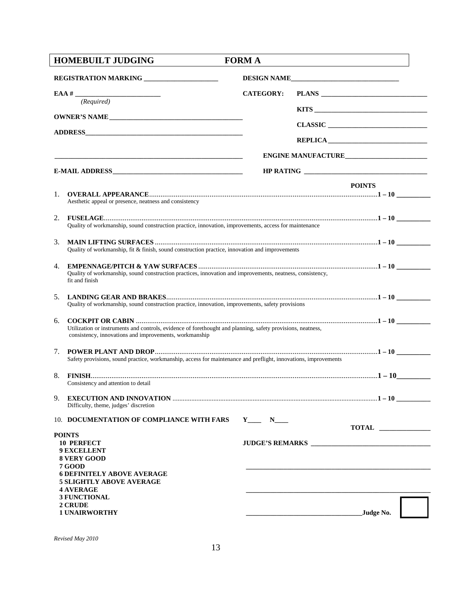|    | <b>HOMEBUILT JUDGING</b>                                                                                                                                                                                                                | <b>FORM A</b>    |                                                                                                                                     |
|----|-----------------------------------------------------------------------------------------------------------------------------------------------------------------------------------------------------------------------------------------|------------------|-------------------------------------------------------------------------------------------------------------------------------------|
|    | REGISTRATION MARKING _____________________                                                                                                                                                                                              |                  | DESIGN NAME                                                                                                                         |
|    | (Required)                                                                                                                                                                                                                              | <b>CATEGORY:</b> |                                                                                                                                     |
|    | <b>OWNER'S NAME</b>                                                                                                                                                                                                                     |                  |                                                                                                                                     |
|    |                                                                                                                                                                                                                                         |                  | $CLASSIC$                                                                                                                           |
|    |                                                                                                                                                                                                                                         |                  |                                                                                                                                     |
|    |                                                                                                                                                                                                                                         |                  | ENGINE MANUFACTURE                                                                                                                  |
|    |                                                                                                                                                                                                                                         |                  |                                                                                                                                     |
| 1. | Aesthetic appeal or presence, neatness and consistency                                                                                                                                                                                  |                  | <b>POINTS</b>                                                                                                                       |
| 2. | Quality of workmanship, sound construction practice, innovation, improvements, access for maintenance                                                                                                                                   |                  |                                                                                                                                     |
| 3. | Quality of workmanship, fit & finish, sound construction practice, innovation and improvements                                                                                                                                          |                  |                                                                                                                                     |
| 4. | Quality of workmanship, sound construction practices, innovation and improvements, neatness, consistency,<br>fit and finish                                                                                                             |                  |                                                                                                                                     |
| 5. | Quality of workmanship, sound construction practice, innovation, improvements, safety provisions                                                                                                                                        |                  |                                                                                                                                     |
| 6. | Utilization or instruments and controls, evidence of forethought and planning, safety provisions, neatness,<br>consistency, innovations and improvements, workmanship                                                                   |                  |                                                                                                                                     |
| 7. | Safety provisions, sound practice, workmanship, access for maintenance and preflight, innovations, improvements                                                                                                                         |                  |                                                                                                                                     |
| 8. | Consistency and attention to detail                                                                                                                                                                                                     |                  |                                                                                                                                     |
|    | Difficulty, theme, judges' discretion                                                                                                                                                                                                   |                  |                                                                                                                                     |
|    | 10. DOCUMENTATION OF COMPLIANCE WITH FARS Y____ N___                                                                                                                                                                                    |                  | TOTAL                                                                                                                               |
|    | <b>POINTS</b><br><b>10 PERFECT</b><br><b>9 EXCELLENT</b><br>8 VERY GOOD<br><b>7 GOOD</b><br><b>6 DEFINITELY ABOVE AVERAGE</b><br><b>5 SLIGHTLY ABOVE AVERAGE</b><br><b>4 AVERAGE</b><br>3 FUNCTIONAL<br>2 CRUDE<br><b>1 UNAIRWORTHY</b> |                  | Judge No.<br><u> 1989 - Johann Stein, mars and de Britannic and de Britannic and de Britannic and de Britannic and de Britannic</u> |

*Revised May 2010*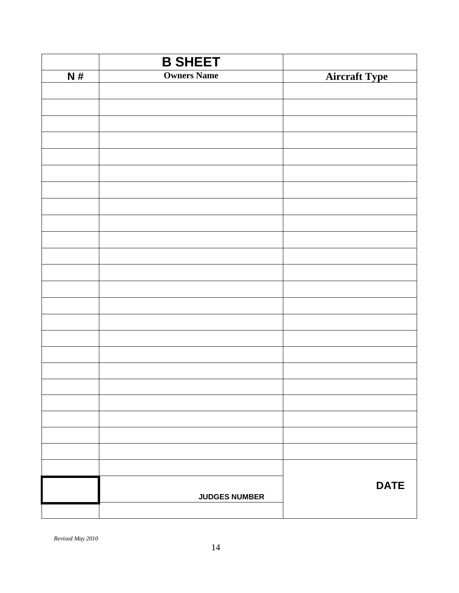|    | <b>B SHEET</b>       |                      |
|----|----------------------|----------------------|
| N# | <b>Owners Name</b>   | <b>Aircraft Type</b> |
|    |                      |                      |
|    |                      |                      |
|    |                      |                      |
|    |                      |                      |
|    |                      |                      |
|    |                      |                      |
|    |                      |                      |
|    |                      |                      |
|    |                      |                      |
|    |                      |                      |
|    |                      |                      |
|    |                      |                      |
|    |                      |                      |
|    |                      |                      |
|    |                      |                      |
|    |                      |                      |
|    |                      |                      |
|    |                      |                      |
|    |                      |                      |
|    |                      |                      |
|    |                      |                      |
|    |                      |                      |
|    |                      |                      |
|    |                      |                      |
|    |                      | <b>DATE</b>          |
|    | <b>JUDGES NUMBER</b> |                      |
|    |                      |                      |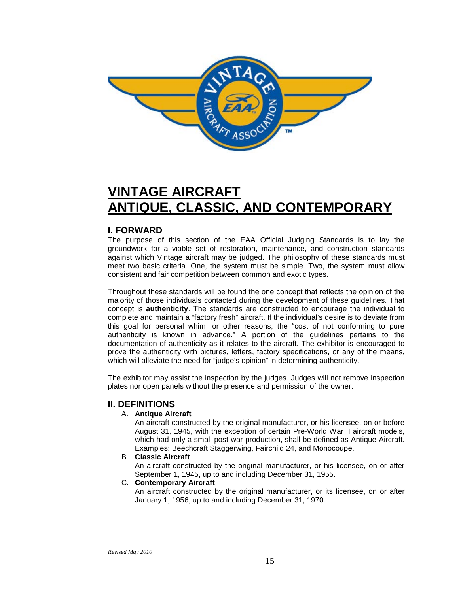

### **VINTAGE AIRCRAFT ANTIQUE, CLASSIC, AND CONTEMPORARY**

#### **I. FORWARD**

The purpose of this section of the EAA Official Judging Standards is to lay the groundwork for a viable set of restoration, maintenance, and construction standards against which Vintage aircraft may be judged. The philosophy of these standards must meet two basic criteria. One, the system must be simple. Two, the system must allow consistent and fair competition between common and exotic types.

Throughout these standards will be found the one concept that reflects the opinion of the majority of those individuals contacted during the development of these guidelines. That concept is **authenticity**. The standards are constructed to encourage the individual to complete and maintain a "factory fresh" aircraft. If the individual's desire is to deviate from this goal for personal whim, or other reasons, the "cost of not conforming to pure authenticity is known in advance." A portion of the guidelines pertains to the documentation of authenticity as it relates to the aircraft. The exhibitor is encouraged to prove the authenticity with pictures, letters, factory specifications, or any of the means, which will alleviate the need for "judge's opinion" in determining authenticity.

The exhibitor may assist the inspection by the judges. Judges will not remove inspection plates nor open panels without the presence and permission of the owner.

#### **II. DEFINITIONS**

#### A. **Antique Aircraft**

An aircraft constructed by the original manufacturer, or his licensee, on or before August 31, 1945, with the exception of certain Pre-World War II aircraft models, which had only a small post-war production, shall be defined as Antique Aircraft. Examples: Beechcraft Staggerwing, Fairchild 24, and Monocoupe.

#### B. **Classic Aircraft**

An aircraft constructed by the original manufacturer, or his licensee, on or after September 1, 1945, up to and including December 31, 1955.

#### C. **Contemporary Aircraft**

An aircraft constructed by the original manufacturer, or its licensee, on or after January 1, 1956, up to and including December 31, 1970.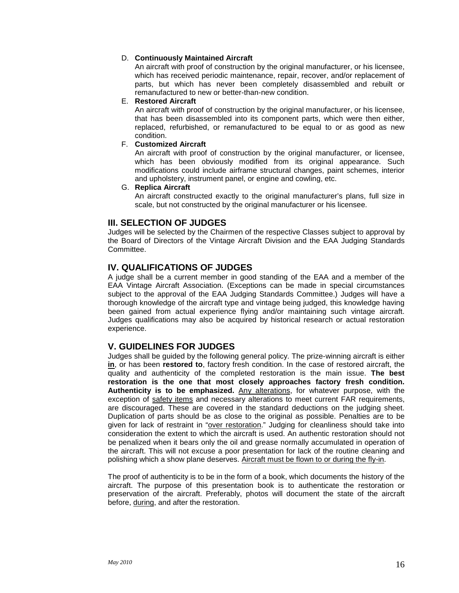#### D. **Continuously Maintained Aircraft**

An aircraft with proof of construction by the original manufacturer, or his licensee, which has received periodic maintenance, repair, recover, and/or replacement of parts, but which has never been completely disassembled and rebuilt or remanufactured to new or better-than-new condition.

#### E. **Restored Aircraft**

An aircraft with proof of construction by the original manufacturer, or his licensee, that has been disassembled into its component parts, which were then either, replaced, refurbished, or remanufactured to be equal to or as good as new condition.

#### F. **Customized Aircraft**

An aircraft with proof of construction by the original manufacturer, or licensee, which has been obviously modified from its original appearance. Such modifications could include airframe structural changes, paint schemes, interior and upholstery, instrument panel, or engine and cowling, etc.

#### G. **Replica Aircraft**

An aircraft constructed exactly to the original manufacturer's plans, full size in scale, but not constructed by the original manufacturer or his licensee.

#### **III. SELECTION OF JUDGES**

Judges will be selected by the Chairmen of the respective Classes subject to approval by the Board of Directors of the Vintage Aircraft Division and the EAA Judging Standards Committee.

#### **IV. QUALIFICATIONS OF JUDGES**

A judge shall be a current member in good standing of the EAA and a member of the EAA Vintage Aircraft Association. (Exceptions can be made in special circumstances subject to the approval of the EAA Judging Standards Committee.) Judges will have a thorough knowledge of the aircraft type and vintage being judged, this knowledge having been gained from actual experience flying and/or maintaining such vintage aircraft. Judges qualifications may also be acquired by historical research or actual restoration experience.

#### **V. GUIDELINES FOR JUDGES**

Judges shall be guided by the following general policy. The prize-winning aircraft is either **in**, or has been **restored to**, factory fresh condition. In the case of restored aircraft, the quality and authenticity of the completed restoration is the main issue. **The best restoration is the one that most closely approaches factory fresh condition. Authenticity is to be emphasized.** Any alterations, for whatever purpose, with the exception of safety items and necessary alterations to meet current FAR requirements, are discouraged. These are covered in the standard deductions on the judging sheet. Duplication of parts should be as close to the original as possible. Penalties are to be given for lack of restraint in "over restoration." Judging for cleanliness should take into consideration the extent to which the aircraft is used. An authentic restoration should not be penalized when it bears only the oil and grease normally accumulated in operation of the aircraft. This will not excuse a poor presentation for lack of the routine cleaning and polishing which a show plane deserves. Aircraft must be flown to or during the fly-in.

The proof of authenticity is to be in the form of a book, which documents the history of the aircraft. The purpose of this presentation book is to authenticate the restoration or preservation of the aircraft. Preferably, photos will document the state of the aircraft before, during, and after the restoration.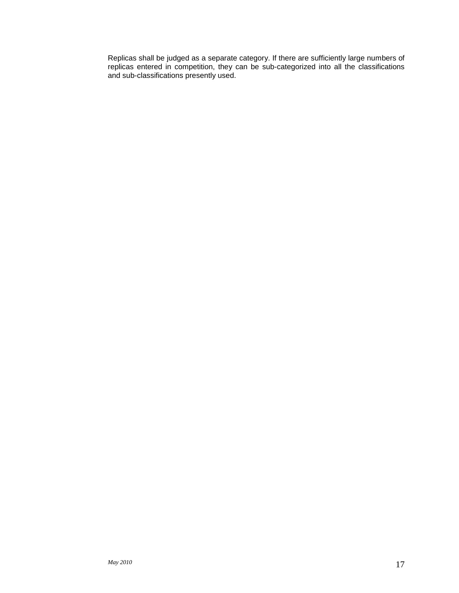Replicas shall be judged as a separate category. If there are sufficiently large numbers of replicas entered in competition, they can be sub-categorized into all the classifications and sub-classifications presently used.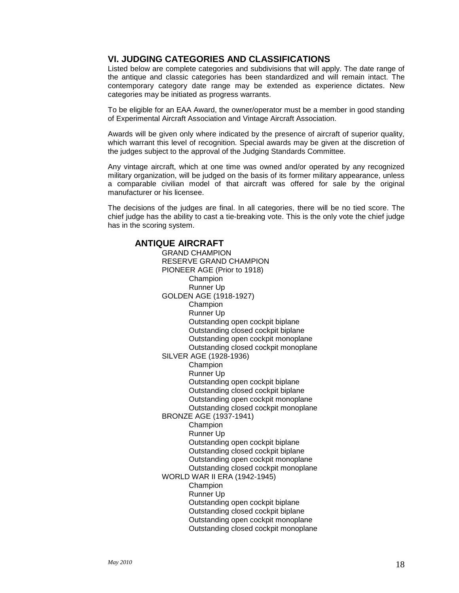#### **VI. JUDGING CATEGORIES AND CLASSIFICATIONS**

Listed below are complete categories and subdivisions that will apply. The date range of the antique and classic categories has been standardized and will remain intact. The contemporary category date range may be extended as experience dictates. New categories may be initiated as progress warrants.

To be eligible for an EAA Award, the owner/operator must be a member in good standing of Experimental Aircraft Association and Vintage Aircraft Association.

Awards will be given only where indicated by the presence of aircraft of superior quality, which warrant this level of recognition. Special awards may be given at the discretion of the judges subject to the approval of the Judging Standards Committee.

Any vintage aircraft, which at one time was owned and/or operated by any recognized military organization, will be judged on the basis of its former military appearance, unless a comparable civilian model of that aircraft was offered for sale by the original manufacturer or his licensee.

The decisions of the judges are final. In all categories, there will be no tied score. The chief judge has the ability to cast a tie-breaking vote. This is the only vote the chief judge has in the scoring system.

#### **ANTIQUE AIRCRAFT**

GRAND CHAMPION RESERVE GRAND CHAMPION PIONEER AGE (Prior to 1918) Champion Runner Up GOLDEN AGE (1918-1927) **Champion** Runner Up Outstanding open cockpit biplane Outstanding closed cockpit biplane Outstanding open cockpit monoplane Outstanding closed cockpit monoplane SILVER AGE (1928-1936) Champion Runner Up Outstanding open cockpit biplane Outstanding closed cockpit biplane Outstanding open cockpit monoplane Outstanding closed cockpit monoplane BRONZE AGE (1937-1941) **Champion** Runner Up Outstanding open cockpit biplane Outstanding closed cockpit biplane Outstanding open cockpit monoplane Outstanding closed cockpit monoplane WORLD WAR II ERA (1942-1945) Champion Runner Up Outstanding open cockpit biplane Outstanding closed cockpit biplane Outstanding open cockpit monoplane Outstanding closed cockpit monoplane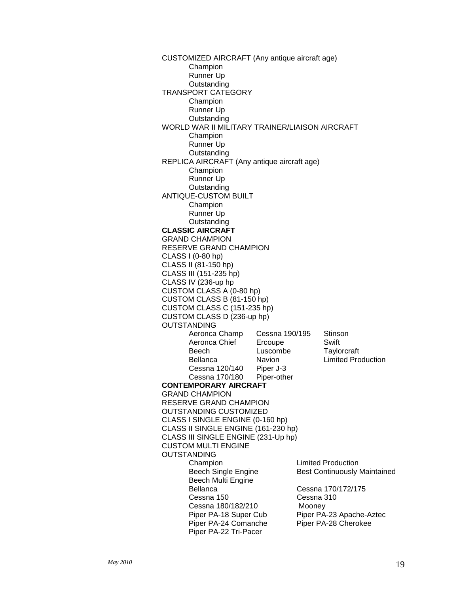CUSTOMIZED AIRCRAFT (Any antique aircraft age) Champion Runner Up **Outstanding** TRANSPORT CATEGORY Champion Runner Up **Outstanding** WORLD WAR II MILITARY TRAINER/LIAISON AIRCRAFT Champion Runner Up **Outstanding** REPLICA AIRCRAFT (Any antique aircraft age) Champion Runner Up **Outstanding** ANTIQUE-CUSTOM BUILT Champion Runner Up **Outstanding CLASSIC AIRCRAFT** GRAND CHAMPION RESERVE GRAND CHAMPION CLASS I (0-80 hp) CLASS II (81-150 hp) CLASS III (151-235 hp) CLASS IV (236-up hp CUSTOM CLASS A (0-80 hp) CUSTOM CLASS B (81-150 hp) CUSTOM CLASS C (151-235 hp) CUSTOM CLASS D (236-up hp) OUTSTANDING<br>Aeronca Champ Cessna 190/195 Stinson<br>Ercoupe Swift Aeronca Chief Ercoupe Swift<br>Beech Luscombe Taylorcraft Beech Luscombe<br>Bellanca Navion Limited Production Cessna 120/140 Piper J-3 Cessna 170/180 Piper-other **CONTEMPORARY AIRCRAFT** GRAND CHAMPION RESERVE GRAND CHAMPION OUTSTANDING CUSTOMIZED CLASS I SINGLE ENGINE (0-160 hp) CLASS II SINGLE ENGINE (161-230 hp) CLASS III SINGLE ENGINE (231-Up hp) CUSTOM MULTI ENGINE OUTSTANDING<br>Champion **Limited Production** Beech Single Engine Best Continuously Maintained Beech Multi Engine Cessna 170/172/175<br>Cessna 310 Cessna 150 Cessna 180/182/210 Mooney<br>Piper PA-18 Super Cub Piper PA Piper PA-23 Apache-Aztec Piper PA-24 Comanche Piper PA-28 Cherokee Piper PA-22 Tri-Pacer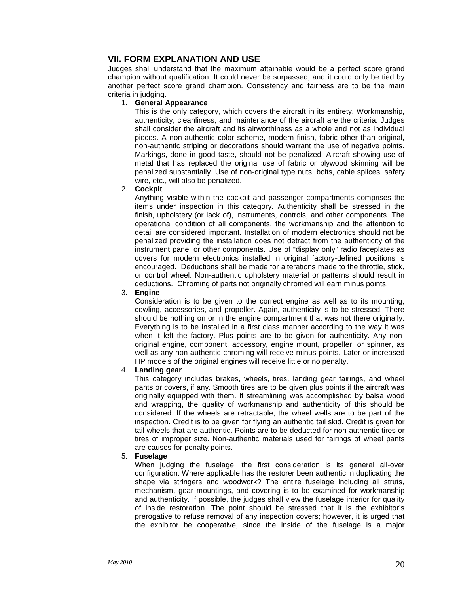#### **VII. FORM EXPLANATION AND USE**

Judges shall understand that the maximum attainable would be a perfect score grand champion without qualification. It could never be surpassed, and it could only be tied by another perfect score grand champion. Consistency and fairness are to be the main criteria in judging.

#### 1. **General Appearance**

This is the only category, which covers the aircraft in its entirety. Workmanship, authenticity, cleanliness, and maintenance of the aircraft are the criteria. Judges shall consider the aircraft and its airworthiness as a whole and not as individual pieces. A non-authentic color scheme, modern finish, fabric other than original, non-authentic striping or decorations should warrant the use of negative points. Markings, done in good taste, should not be penalized. Aircraft showing use of metal that has replaced the original use of fabric or plywood skinning will be penalized substantially. Use of non-original type nuts, bolts, cable splices, safety wire, etc., will also be penalized.

#### 2. **Cockpit**

Anything visible within the cockpit and passenger compartments comprises the items under inspection in this category. Authenticity shall be stressed in the finish, upholstery (or lack of), instruments, controls, and other components. The operational condition of all components, the workmanship and the attention to detail are considered important. Installation of modern electronics should not be penalized providing the installation does not detract from the authenticity of the instrument panel or other components. Use of "display only" radio faceplates as covers for modern electronics installed in original factory-defined positions is encouraged. Deductions shall be made for alterations made to the throttle, stick, or control wheel. Non-authentic upholstery material or patterns should result in deductions. Chroming of parts not originally chromed will earn minus points.

#### 3. **Engine**

Consideration is to be given to the correct engine as well as to its mounting, cowling, accessories, and propeller. Again, authenticity is to be stressed. There should be nothing on or in the engine compartment that was not there originally. Everything is to be installed in a first class manner according to the way it was when it left the factory. Plus points are to be given for authenticity. Any nonoriginal engine, component, accessory, engine mount, propeller, or spinner, as well as any non-authentic chroming will receive minus points. Later or increased HP models of the original engines will receive little or no penalty.

#### 4. **Landing gear**

This category includes brakes, wheels, tires, landing gear fairings, and wheel pants or covers, if any. Smooth tires are to be given plus points if the aircraft was originally equipped with them. If streamlining was accomplished by balsa wood and wrapping, the quality of workmanship and authenticity of this should be considered. If the wheels are retractable, the wheel wells are to be part of the inspection. Credit is to be given for flying an authentic tail skid. Credit is given for tail wheels that are authentic. Points are to be deducted for non-authentic tires or tires of improper size. Non-authentic materials used for fairings of wheel pants are causes for penalty points.

#### 5. **Fuselage**

When judging the fuselage, the first consideration is its general all-over configuration. Where applicable has the restorer been authentic in duplicating the shape via stringers and woodwork? The entire fuselage including all struts, mechanism, gear mountings, and covering is to be examined for workmanship and authenticity. If possible, the judges shall view the fuselage interior for quality of inside restoration. The point should be stressed that it is the exhibitor's prerogative to refuse removal of any inspection covers; however, it is urged that the exhibitor be cooperative, since the inside of the fuselage is a major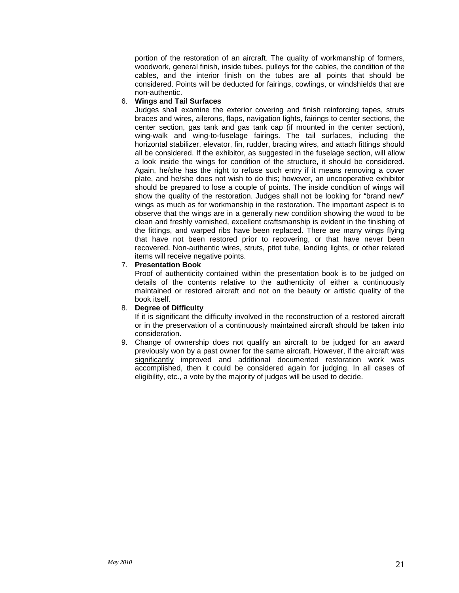portion of the restoration of an aircraft. The quality of workmanship of formers, woodwork, general finish, inside tubes, pulleys for the cables, the condition of the cables, and the interior finish on the tubes are all points that should be considered. Points will be deducted for fairings, cowlings, or windshields that are non-authentic.

#### 6. **Wings and Tail Surfaces**

Judges shall examine the exterior covering and finish reinforcing tapes, struts braces and wires, ailerons, flaps, navigation lights, fairings to center sections, the center section, gas tank and gas tank cap (if mounted in the center section), wing-walk and wing-to-fuselage fairings. The tail surfaces, including the horizontal stabilizer, elevator, fin, rudder, bracing wires, and attach fittings should all be considered. If the exhibitor, as suggested in the fuselage section, will allow a look inside the wings for condition of the structure, it should be considered. Again, he/she has the right to refuse such entry if it means removing a cover plate, and he/she does not wish to do this; however, an uncooperative exhibitor should be prepared to lose a couple of points. The inside condition of wings will show the quality of the restoration. Judges shall not be looking for "brand new" wings as much as for workmanship in the restoration. The important aspect is to observe that the wings are in a generally new condition showing the wood to be clean and freshly varnished, excellent craftsmanship is evident in the finishing of the fittings, and warped ribs have been replaced. There are many wings flying that have not been restored prior to recovering, or that have never been recovered. Non-authentic wires, struts, pitot tube, landing lights, or other related items will receive negative points.

#### 7. **Presentation Book**

Proof of authenticity contained within the presentation book is to be judged on details of the contents relative to the authenticity of either a continuously maintained or restored aircraft and not on the beauty or artistic quality of the book itself.

#### 8. **Degree of Difficulty**

If it is significant the difficulty involved in the reconstruction of a restored aircraft or in the preservation of a continuously maintained aircraft should be taken into consideration.

9. Change of ownership does not qualify an aircraft to be judged for an award previously won by a past owner for the same aircraft. However, if the aircraft was significantly improved and additional documented restoration work was accomplished, then it could be considered again for judging. In all cases of eligibility, etc., a vote by the majority of judges will be used to decide.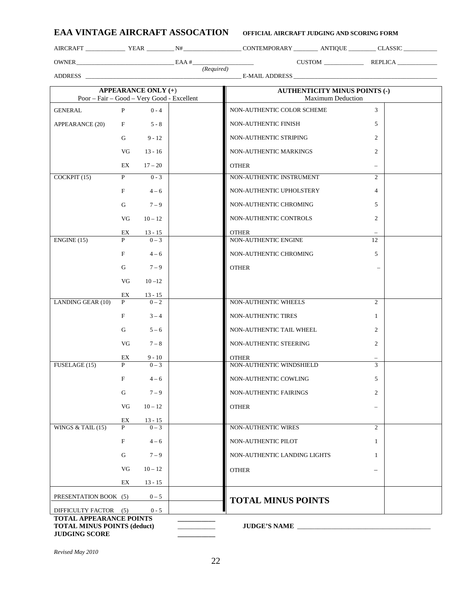| <b>EAA VINTAGE AIRCRAFT ASSOCATION</b> | OFFICIAL AIRCRAFT JUDGING AND SCORING FORM |
|----------------------------------------|--------------------------------------------|
|                                        |                                            |

OWNER\_\_\_\_\_\_\_\_\_\_\_\_\_\_\_\_\_\_\_\_\_\_\_\_\_\_\_\_\_\_\_\_ EAA #\_\_\_\_\_\_\_\_\_\_\_\_\_\_\_\_\_\_\_\_ CUSTOM \_\_\_\_\_\_\_\_\_\_\_\_\_ REPLICA \_\_\_\_\_\_\_\_\_\_\_\_\_

AIRCRAFT \_\_\_\_\_\_\_\_\_\_\_\_\_\_\_\_ YEAR \_\_\_\_\_\_\_\_\_\_\_ N# \_\_\_\_\_\_\_\_\_\_\_\_\_\_\_\_\_\_\_\_ CONTEMPORARY \_\_\_\_\_\_\_\_\_\_ ANTIQUE \_\_\_\_\_\_\_\_\_\_ CLASSIC \_\_\_\_\_\_\_\_\_\_\_\_\_\_\_\_

ADDRESS \_\_\_\_\_\_\_\_\_\_\_\_\_\_\_\_\_\_\_\_\_\_\_\_\_\_\_\_\_\_\_\_\_\_\_\_\_\_\_\_\_\_\_\_\_\_\_\_\_\_\_ E-MAIL ADDRESS \_\_\_\_\_\_\_\_\_\_\_\_\_\_\_\_\_\_\_\_\_\_\_\_\_\_\_\_\_\_\_\_\_\_\_\_\_\_\_\_\_\_\_\_\_\_\_

*(Required)*

| Poor – Fair – Good – Very Good - Excellent                                                   |    | <b>APPEARANCE ONLY</b> (+) | <b>AUTHENTICITY MINUS POINTS (-)</b><br><b>Maximum Deduction</b> |                |
|----------------------------------------------------------------------------------------------|----|----------------------------|------------------------------------------------------------------|----------------|
| <b>GENERAL</b>                                                                               | P  | $0 - 4$                    | NON-AUTHENTIC COLOR SCHEME                                       | 3              |
| APPEARANCE (20)                                                                              | F  | $5 - 8$                    | NON-AUTHENTIC FINISH                                             | 5              |
|                                                                                              | G  | $9 - 12$                   | NON-AUTHENTIC STRIPING                                           | 2              |
|                                                                                              | VG | $13 - 16$                  | NON-AUTHENTIC MARKINGS                                           | 2              |
|                                                                                              | EX | $17 - 20$                  | <b>OTHER</b>                                                     | $\equiv$       |
| COCKPIT (15)                                                                                 | P  | $0 - 3$                    | NON-AUTHENTIC INSTRUMENT                                         | $\overline{2}$ |
|                                                                                              | F  | $4 - 6$                    | NON-AUTHENTIC UPHOLSTERY                                         | $\overline{4}$ |
|                                                                                              | G  | $7 - 9$                    | NON-AUTHENTIC CHROMING                                           | 5              |
|                                                                                              | VG | $10 - 12$                  | NON-AUTHENTIC CONTROLS                                           | $\overline{2}$ |
|                                                                                              | EX | $13 - 15$                  | <b>OTHER</b>                                                     |                |
| ENGINE(15)                                                                                   | P  | $0 - 3$                    | NON-AUTHENTIC ENGINE                                             | 12             |
|                                                                                              | F  | $4 - 6$                    | NON-AUTHENTIC CHROMING                                           | 5              |
|                                                                                              | G  | $7 - 9$                    | <b>OTHER</b>                                                     |                |
|                                                                                              | VG | $10 - 12$                  |                                                                  |                |
|                                                                                              | EX | $13 - 15$                  |                                                                  |                |
| LANDING GEAR (10)                                                                            | P  | $0 - 2$                    | NON-AUTHENTIC WHEELS                                             | $\overline{2}$ |
|                                                                                              | F  | $3 - 4$                    | NON-AUTHENTIC TIRES                                              | $\mathbf{1}$   |
|                                                                                              | G  | $5 - 6$                    | NON-AUTHENTIC TAIL WHEEL                                         | $\overline{2}$ |
|                                                                                              | VG | $7 - 8$                    | NON-AUTHENTIC STEERING                                           | $\overline{2}$ |
|                                                                                              | EX | 9 - 10                     | <b>OTHER</b>                                                     |                |
| FUSELAGE (15)                                                                                | P  | $0 - 3$                    | NON-AUTHENTIC WINDSHIELD                                         | 3              |
|                                                                                              | F  | $4 - 6$                    | NON-AUTHENTIC COWLING                                            | 5              |
|                                                                                              | G  | $7 - 9$                    | NON-AUTHENTIC FAIRINGS                                           | $\overline{c}$ |
|                                                                                              | VG | $10 - 12$                  | <b>OTHER</b>                                                     |                |
|                                                                                              | EX | $13 - 15$                  |                                                                  |                |
| WINGS $&$ TAIL (15)                                                                          | P  | $0 - 3$                    | <b>NON-AUTHENTIC WIRES</b>                                       | $\overline{2}$ |
|                                                                                              | F  | $4 - 6$                    | NON-AUTHENTIC PILOT                                              | $\mathbf{1}$   |
|                                                                                              | G  | $7 - 9$                    | NON-AUTHENTIC LANDING LIGHTS                                     | $\mathbf{1}$   |
|                                                                                              | VG | $10 - 12$                  | <b>OTHER</b>                                                     |                |
|                                                                                              | EX | $13 - 15$                  |                                                                  |                |
| PRESENTATION BOOK (5)                                                                        |    | $0 - 5$                    | <b>TOTAL MINUS POINTS</b>                                        |                |
| DIFFICULTY FACTOR (5)                                                                        |    | $0 - 5$                    |                                                                  |                |
| <b>TOTAL APPEARANCE POINTS</b><br><b>TOTAL MINUS POINTS (deduct)</b><br><b>JUDGING SCORE</b> |    |                            | JUDGE'S NAME                                                     |                |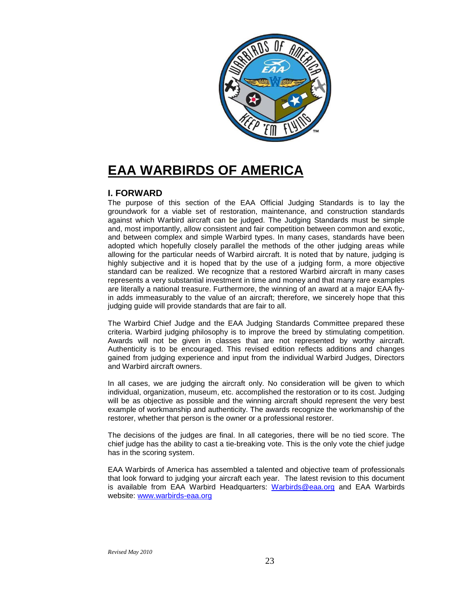

### **EAA WARBIRDS OF AMERICA**

#### **I. FORWARD**

The purpose of this section of the EAA Official Judging Standards is to lay the groundwork for a viable set of restoration, maintenance, and construction standards against which Warbird aircraft can be judged. The Judging Standards must be simple and, most importantly, allow consistent and fair competition between common and exotic, and between complex and simple Warbird types. In many cases, standards have been adopted which hopefully closely parallel the methods of the other judging areas while allowing for the particular needs of Warbird aircraft. It is noted that by nature, judging is highly subjective and it is hoped that by the use of a judging form, a more objective standard can be realized. We recognize that a restored Warbird aircraft in many cases represents a very substantial investment in time and money and that many rare examples are literally a national treasure. Furthermore, the winning of an award at a major EAA flyin adds immeasurably to the value of an aircraft; therefore, we sincerely hope that this judging quide will provide standards that are fair to all.

The Warbird Chief Judge and the EAA Judging Standards Committee prepared these criteria. Warbird judging philosophy is to improve the breed by stimulating competition. Awards will not be given in classes that are not represented by worthy aircraft. Authenticity is to be encouraged. This revised edition reflects additions and changes gained from judging experience and input from the individual Warbird Judges, Directors and Warbird aircraft owners.

In all cases, we are judging the aircraft only. No consideration will be given to which individual, organization, museum, etc. accomplished the restoration or to its cost. Judging will be as objective as possible and the winning aircraft should represent the very best example of workmanship and authenticity. The awards recognize the workmanship of the restorer, whether that person is the owner or a professional restorer.

The decisions of the judges are final. In all categories, there will be no tied score. The chief judge has the ability to cast a tie-breaking vote. This is the only vote the chief judge has in the scoring system.

EAA Warbirds of America has assembled a talented and objective team of professionals that look forward to judging your aircraft each year. The latest revision to this document is available from EAA Warbird Headquarters: [Warbirds@eaa.org](mailto:Warbirds@eaa.org) and EAA Warbirds website: [www.warbirds-eaa.org](http://www.warbirds-eaa.org/)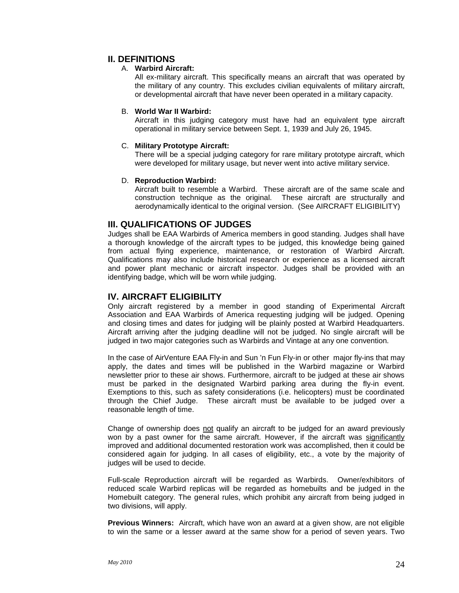#### **II. DEFINITIONS**

#### A. **Warbird Aircraft:**

All ex-military aircraft. This specifically means an aircraft that was operated by the military of any country. This excludes civilian equivalents of military aircraft, or developmental aircraft that have never been operated in a military capacity.

#### B. **World War II Warbird:**

Aircraft in this judging category must have had an equivalent type aircraft operational in military service between Sept. 1, 1939 and July 26, 1945.

#### C. **Military Prototype Aircraft:**

There will be a special judging category for rare military prototype aircraft, which were developed for military usage, but never went into active military service.

#### D. **Reproduction Warbird:**

Aircraft built to resemble a Warbird. These aircraft are of the same scale and construction technique as the original. These aircraft are structurally and aerodynamically identical to the original version. (See AIRCRAFT ELIGIBILITY)

#### **III. QUALIFICATIONS OF JUDGES**

Judges shall be EAA Warbirds of America members in good standing. Judges shall have a thorough knowledge of the aircraft types to be judged, this knowledge being gained from actual flying experience, maintenance, or restoration of Warbird Aircraft. Qualifications may also include historical research or experience as a licensed aircraft and power plant mechanic or aircraft inspector. Judges shall be provided with an identifying badge, which will be worn while judging.

#### **IV. AIRCRAFT ELIGIBILITY**

Only aircraft registered by a member in good standing of Experimental Aircraft Association and EAA Warbirds of America requesting judging will be judged. Opening and closing times and dates for judging will be plainly posted at Warbird Headquarters. Aircraft arriving after the judging deadline will not be judged. No single aircraft will be judged in two major categories such as Warbirds and Vintage at any one convention.

In the case of AirVenture EAA Fly-in and Sun 'n Fun Fly-in or other major fly-ins that may apply, the dates and times will be published in the Warbird magazine or Warbird newsletter prior to these air shows. Furthermore, aircraft to be judged at these air shows must be parked in the designated Warbird parking area during the fly-in event. Exemptions to this, such as safety considerations (i.e. helicopters) must be coordinated through the Chief Judge. These aircraft must be available to be judged over a reasonable length of time.

Change of ownership does not qualify an aircraft to be judged for an award previously won by a past owner for the same aircraft. However, if the aircraft was significantly improved and additional documented restoration work was accomplished, then it could be considered again for judging. In all cases of eligibility, etc., a vote by the majority of judges will be used to decide.

Full-scale Reproduction aircraft will be regarded as Warbirds. Owner/exhibitors of reduced scale Warbird replicas will be regarded as homebuilts and be judged in the Homebuilt category. The general rules, which prohibit any aircraft from being judged in two divisions, will apply.

**Previous Winners:** Aircraft, which have won an award at a given show, are not eligible to win the same or a lesser award at the same show for a period of seven years. Two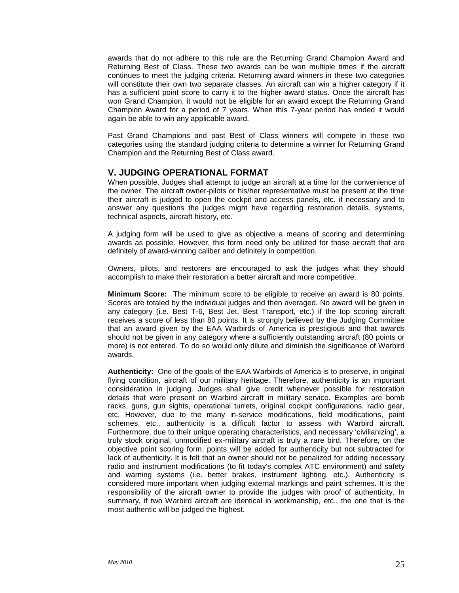awards that do not adhere to this rule are the Returning Grand Champion Award and Returning Best of Class. These two awards can be won multiple times if the aircraft continues to meet the judging criteria. Returning award winners in these two categories will constitute their own two separate classes. An aircraft can win a higher category if it has a sufficient point score to carry it to the higher award status. Once the aircraft has won Grand Champion, it would not be eligible for an award except the Returning Grand Champion Award for a period of 7 years. When this 7-year period has ended it would again be able to win any applicable award.

Past Grand Champions and past Best of Class winners will compete in these two categories using the standard judging criteria to determine a winner for Returning Grand Champion and the Returning Best of Class award.

#### **V. JUDGING OPERATIONAL FORMAT**

When possible, Judges shall attempt to judge an aircraft at a time for the convenience of the owner. The aircraft owner-pilots or his/her representative must be present at the time their aircraft is judged to open the cockpit and access panels, etc. if necessary and to answer any questions the judges might have regarding restoration details, systems, technical aspects, aircraft history, etc.

A judging form will be used to give as objective a means of scoring and determining awards as possible. However, this form need only be utilized for those aircraft that are definitely of award-winning caliber and definitely in competition.

Owners, pilots, and restorers are encouraged to ask the judges what they should accomplish to make their restoration a better aircraft and more competitive.

**Minimum Score:** The minimum score to be eligible to receive an award is 80 points. Scores are totaled by the individual judges and then averaged. No award will be given in any category (i.e. Best T-6, Best Jet, Best Transport, etc.) if the top scoring aircraft receives a score of less than 80 points. It is strongly believed by the Judging Committee that an award given by the EAA Warbirds of America is prestigious and that awards should not be given in any category where a sufficiently outstanding aircraft (80 points or more) is not entered. To do so would only dilute and diminish the significance of Warbird awards.

**Authenticity:** One of the goals of the EAA Warbirds of America is to preserve, in original flying condition, aircraft of our military heritage. Therefore, authenticity is an important consideration in judging. Judges shall give credit whenever possible for restoration details that were present on Warbird aircraft in military service. Examples are bomb racks, guns, gun sights, operational turrets, original cockpit configurations, radio gear, etc. However, due to the many in-service modifications, field modifications, paint schemes, etc., authenticity is a difficult factor to assess with Warbird aircraft. Furthermore, due to their unique operating characteristics, and necessary 'civilianizing', a truly stock original, unmodified ex-military aircraft is truly a rare bird. Therefore, on the objective point scoring form, points will be added for authenticity but not subtracted for lack of authenticity. It is felt that an owner should not be penalized for adding necessary radio and instrument modifications (to fit today's complex ATC environment) and safety and warning systems (i.e. better brakes, instrument lighting, etc.). Authenticity is considered more important when judging external markings and paint schemes**.** It is the responsibility of the aircraft owner to provide the judges with proof of authenticity. In summary, if two Warbird aircraft are identical in workmanship, etc., the one that is the most authentic will be judged the highest.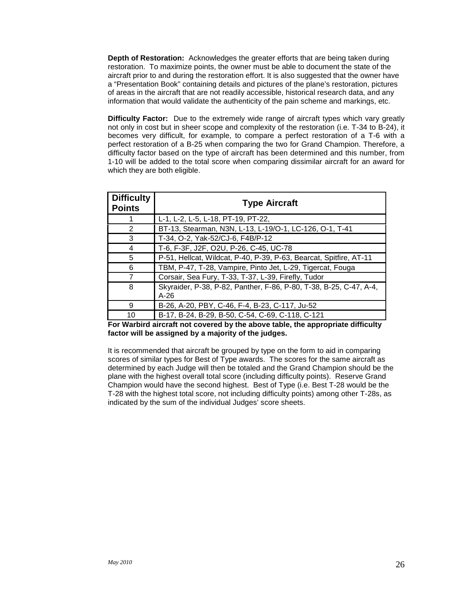**Depth of Restoration:** Acknowledges the greater efforts that are being taken during restoration. To maximize points, the owner must be able to document the state of the aircraft prior to and during the restoration effort. It is also suggested that the owner have a "Presentation Book" containing details and pictures of the plane's restoration, pictures of areas in the aircraft that are not readily accessible, historical research data, and any information that would validate the authenticity of the pain scheme and markings, etc.

**Difficulty Factor:** Due to the extremely wide range of aircraft types which vary greatly not only in cost but in sheer scope and complexity of the restoration (i.e. T-34 to B-24), it becomes very difficult, for example, to compare a perfect restoration of a T-6 with a perfect restoration of a B-25 when comparing the two for Grand Champion. Therefore, a difficulty factor based on the type of aircraft has been determined and this number, from 1-10 will be added to the total score when comparing dissimilar aircraft for an award for which they are both eligible.

| <b>Difficulty</b><br><b>Points</b> | <b>Type Aircraft</b>                                                         |
|------------------------------------|------------------------------------------------------------------------------|
|                                    | L-1, L-2, L-5, L-18, PT-19, PT-22,                                           |
| 2                                  | BT-13, Stearman, N3N, L-13, L-19/O-1, LC-126, O-1, T-41                      |
| 3                                  | T-34, O-2, Yak-52/CJ-6, F4B/P-12                                             |
| 4                                  | T-6, F-3F, J2F, O2U, P-26, C-45, UC-78                                       |
| 5                                  | P-51, Hellcat, Wildcat, P-40, P-39, P-63, Bearcat, Spitfire, AT-11           |
| 6                                  | TBM, P-47, T-28, Vampire, Pinto Jet, L-29, Tigercat, Fouga                   |
| 7                                  | Corsair, Sea Fury, T-33, T-37, L-39, Firefly, Tudor                          |
| 8                                  | Skyraider, P-38, P-82, Panther, F-86, P-80, T-38, B-25, C-47, A-4,<br>$A-26$ |
| 9                                  | B-26, A-20, PBY, C-46, F-4, B-23, C-117, Ju-52                               |
| 10                                 | B-17, B-24, B-29, B-50, C-54, C-69, C-118, C-121                             |

**For Warbird aircraft not covered by the above table, the appropriate difficulty factor will be assigned by a majority of the judges.**

It is recommended that aircraft be grouped by type on the form to aid in comparing scores of similar types for Best of Type awards. The scores for the same aircraft as determined by each Judge will then be totaled and the Grand Champion should be the plane with the highest overall total score (including difficulty points). Reserve Grand Champion would have the second highest. Best of Type (i.e. Best T-28 would be the T-28 with the highest total score, not including difficulty points) among other T-28s, as indicated by the sum of the individual Judges' score sheets.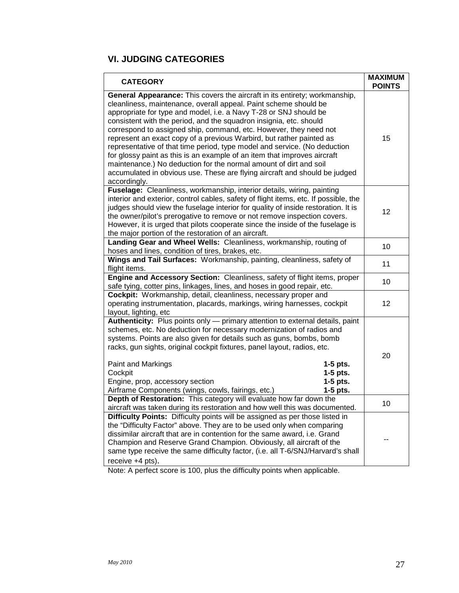#### **VI. JUDGING CATEGORIES**

| <b>CATEGORY</b>                                                                                                                                                                                                                                                                                                                                                                                                                                                                                                                                                                                                                                                                                                                                                    | <b>MAXIMUM</b><br><b>POINTS</b> |
|--------------------------------------------------------------------------------------------------------------------------------------------------------------------------------------------------------------------------------------------------------------------------------------------------------------------------------------------------------------------------------------------------------------------------------------------------------------------------------------------------------------------------------------------------------------------------------------------------------------------------------------------------------------------------------------------------------------------------------------------------------------------|---------------------------------|
| General Appearance: This covers the aircraft in its entirety; workmanship,<br>cleanliness, maintenance, overall appeal. Paint scheme should be<br>appropriate for type and model, i.e. a Navy T-28 or SNJ should be<br>consistent with the period, and the squadron insignia, etc. should<br>correspond to assigned ship, command, etc. However, they need not<br>represent an exact copy of a previous Warbird, but rather painted as<br>representative of that time period, type model and service. (No deduction<br>for glossy paint as this is an example of an item that improves aircraft<br>maintenance.) No deduction for the normal amount of dirt and soil<br>accumulated in obvious use. These are flying aircraft and should be judged<br>accordingly. | 15                              |
| Fuselage: Cleanliness, workmanship, interior details, wiring, painting<br>interior and exterior, control cables, safety of flight items, etc. If possible, the<br>judges should view the fuselage interior for quality of inside restoration. It is<br>the owner/pilot's prerogative to remove or not remove inspection covers.<br>However, it is urged that pilots cooperate since the inside of the fuselage is<br>the major portion of the restoration of an aircraft.                                                                                                                                                                                                                                                                                          | 12                              |
| Landing Gear and Wheel Wells: Cleanliness, workmanship, routing of<br>hoses and lines, condition of tires, brakes, etc.                                                                                                                                                                                                                                                                                                                                                                                                                                                                                                                                                                                                                                            | 10                              |
| Wings and Tail Surfaces: Workmanship, painting, cleanliness, safety of<br>flight items.                                                                                                                                                                                                                                                                                                                                                                                                                                                                                                                                                                                                                                                                            | 11                              |
| Engine and Accessory Section: Cleanliness, safety of flight items, proper<br>safe tying, cotter pins, linkages, lines, and hoses in good repair, etc.                                                                                                                                                                                                                                                                                                                                                                                                                                                                                                                                                                                                              | 10                              |
| Cockpit: Workmanship, detail, cleanliness, necessary proper and<br>operating instrumentation, placards, markings, wiring harnesses, cockpit<br>layout, lighting, etc                                                                                                                                                                                                                                                                                                                                                                                                                                                                                                                                                                                               | 12                              |
| Authenticity: Plus points only - primary attention to external details, paint<br>schemes, etc. No deduction for necessary modernization of radios and<br>systems. Points are also given for details such as guns, bombs, bomb<br>racks, gun sights, original cockpit fixtures, panel layout, radios, etc.<br>Paint and Markings<br>$1-5$ pts.<br>$1-5$ pts.<br>Cockpit<br>Engine, prop, accessory section<br>$1-5$ pts.<br>Airframe Components (wings, cowls, fairings, etc.)<br>$1-5$ pts.                                                                                                                                                                                                                                                                        | 20                              |
| Depth of Restoration: This category will evaluate how far down the<br>aircraft was taken during its restoration and how well this was documented.                                                                                                                                                                                                                                                                                                                                                                                                                                                                                                                                                                                                                  | 10                              |
| Difficulty Points: Difficulty points will be assigned as per those listed in<br>the "Difficulty Factor" above. They are to be used only when comparing<br>dissimilar aircraft that are in contention for the same award, i.e. Grand<br>Champion and Reserve Grand Champion. Obviously, all aircraft of the<br>same type receive the same difficulty factor, (i.e. all T-6/SNJ/Harvard's shall<br>receive +4 pts).                                                                                                                                                                                                                                                                                                                                                  |                                 |

Note: A perfect score is 100, plus the difficulty points when applicable.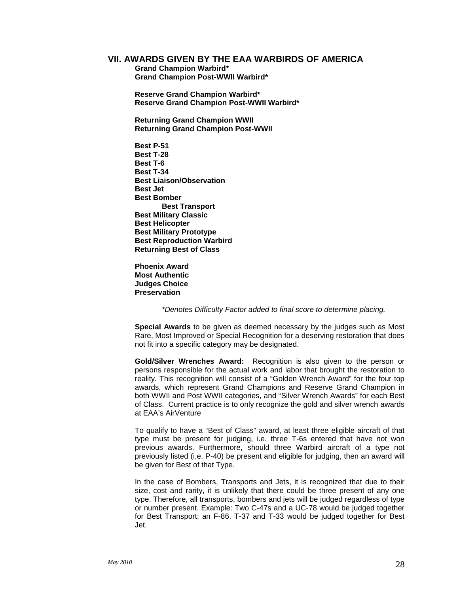#### **VII. AWARDS GIVEN BY THE EAA WARBIRDS OF AMERICA**

**Grand Champion Warbird\* Grand Champion Post-WWII Warbird\***

**Reserve Grand Champion Warbird\* Reserve Grand Champion Post-WWII Warbird\***

**Returning Grand Champion WWII Returning Grand Champion Post-WWII**

- **Best P-51 Best T-28 Best T-6 Best T-34 Best Liaison/Observation Best Jet Best Bomber Best Transport Best Military Classic Best Helicopter Best Military Prototype Best Reproduction Warbird Returning Best of Class**
- **Phoenix Award Most Authentic Judges Choice Preservation**

*\*Denotes Difficulty Factor added to final score to determine placing.*

**Special Awards** to be given as deemed necessary by the judges such as Most Rare, Most Improved or Special Recognition for a deserving restoration that does not fit into a specific category may be designated.

**Gold/Silver Wrenches Award:** Recognition is also given to the person or persons responsible for the actual work and labor that brought the restoration to reality. This recognition will consist of a "Golden Wrench Award" for the four top awards, which represent Grand Champions and Reserve Grand Champion in both WWII and Post WWII categories, and "Silver Wrench Awards" for each Best of Class. Current practice is to only recognize the gold and silver wrench awards at EAA's AirVenture

To qualify to have a "Best of Class" award, at least three eligible aircraft of that type must be present for judging, i.e. three T-6s entered that have not won previous awards. Furthermore, should three Warbird aircraft of a type not previously listed (i.e. P-40) be present and eligible for judging, then an award will be given for Best of that Type.

In the case of Bombers, Transports and Jets, it is recognized that due to their size, cost and rarity, it is unlikely that there could be three present of any one type. Therefore, all transports, bombers and jets will be judged regardless of type or number present. Example: Two C-47s and a UC-78 would be judged together for Best Transport; an F-86, T-37 and T-33 would be judged together for Best Jet.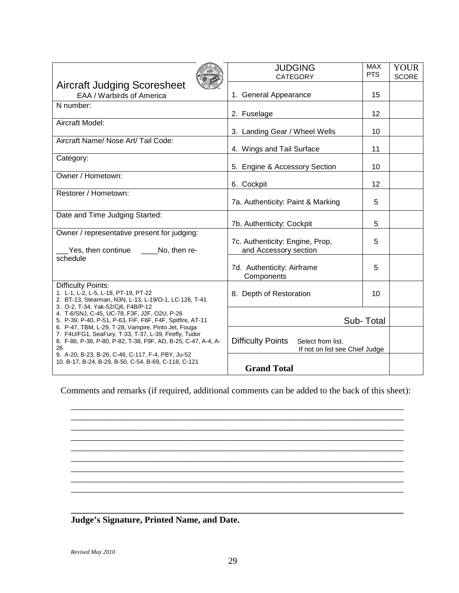|                                                                                                                        | <b>JUDGING</b><br><b>CATEGORY</b>             | <b>MAX</b><br><b>PTS</b> | <b>YOUR</b><br><b>SCORE</b> |
|------------------------------------------------------------------------------------------------------------------------|-----------------------------------------------|--------------------------|-----------------------------|
| <b>Aircraft Judging Scoresheet</b>                                                                                     |                                               |                          |                             |
| EAA / Warbirds of America                                                                                              | 1. General Appearance                         | 15                       |                             |
| N number:                                                                                                              |                                               |                          |                             |
|                                                                                                                        | 2. Fuselage                                   | 12                       |                             |
| Aircraft Model:                                                                                                        |                                               |                          |                             |
| Aircraft Name/ Nose Art/ Tail Code:                                                                                    | 3. Landing Gear / Wheel Wells                 | 10                       |                             |
|                                                                                                                        | 4. Wings and Tail Surface                     | 11                       |                             |
| Category:                                                                                                              |                                               |                          |                             |
|                                                                                                                        | 5. Engine & Accessory Section                 | 10                       |                             |
| Owner / Hometown:                                                                                                      |                                               |                          |                             |
|                                                                                                                        | 6. Cockpit                                    | 12                       |                             |
| Restorer / Hometown:                                                                                                   |                                               |                          |                             |
|                                                                                                                        | 7a. Authenticity: Paint & Marking             | 5                        |                             |
| Date and Time Judging Started:                                                                                         |                                               |                          |                             |
|                                                                                                                        | 7b. Authenticity: Cockpit                     | 5                        |                             |
| Owner / representative present for judging:                                                                            |                                               |                          |                             |
|                                                                                                                        | 7c. Authenticity: Engine, Prop,               | 5                        |                             |
| Yes, then continue ______ No, then re-                                                                                 | and Accessory section                         |                          |                             |
| schedule                                                                                                               |                                               |                          |                             |
|                                                                                                                        | 7d. Authenticity: Airframe                    | 5                        |                             |
|                                                                                                                        | Components                                    |                          |                             |
| <b>Difficulty Points:</b><br>1. L-1, L-2, L-5, L-18, PT-19, PT-22                                                      | 8. Depth of Restoration                       | 10                       |                             |
| 2. BT-13, Stearman, N3N, L-13, L-19/O-1, LC-126, T-41                                                                  |                                               |                          |                             |
| 3. O-2, T-34, Yak-52/Ci6, F4B/P-12                                                                                     |                                               |                          |                             |
| 4. T-6/SNJ, C-45, UC-78, F3F, J2F, O2U, P-26<br>5. P-39, P-40, P-51, P-63, FIF, F6F, F4F, Spitfire, AT-11              |                                               | Sub-Total                |                             |
| 6. P-47, TBM, L-29, T-28, Vampire, Pinto Jet, Fouga                                                                    |                                               |                          |                             |
| 7. F4U/FG1, SeaFury, T-33, T-37, L-39, Firefly, Tudor<br>8. F-86, P-38, P-80, P-82, T-38, F9F, AD, B-25, C-47, A-4, A- | <b>Difficulty Points</b><br>Select from list. |                          |                             |
| 26                                                                                                                     | If not on list see Chief Judge                |                          |                             |
| 9. A-20, B-23, B-26, C-46, C-117, F-4, PBY, Ju-52                                                                      |                                               |                          |                             |
| 10. B-17, B-24, B-29, B-50, C-54, B-69, C-118, C-121                                                                   | <b>Grand Total</b>                            |                          |                             |

Comments and remarks (if required, additional comments can be added to the back of this sheet):

\_\_\_\_\_\_\_\_\_\_\_\_\_\_\_\_\_\_\_\_\_\_\_\_\_\_\_\_\_\_\_\_\_\_\_\_\_\_\_\_\_\_\_\_\_\_\_\_\_\_\_\_\_\_\_\_\_\_\_\_\_\_\_\_\_\_\_\_\_\_\_\_\_\_ \_\_\_\_\_\_\_\_\_\_\_\_\_\_\_\_\_\_\_\_\_\_\_\_\_\_\_\_\_\_\_\_\_\_\_\_\_\_\_\_\_\_\_\_\_\_\_\_\_\_\_\_\_\_\_\_\_\_\_\_\_\_\_\_\_\_\_\_\_\_\_\_\_\_ \_\_\_\_\_\_\_\_\_\_\_\_\_\_\_\_\_\_\_\_\_\_\_\_\_\_\_\_\_\_\_\_\_\_\_\_\_\_\_\_\_\_\_\_\_\_\_\_\_\_\_\_\_\_\_\_\_\_\_\_\_\_\_\_\_\_\_\_\_\_\_\_\_\_ \_\_\_\_\_\_\_\_\_\_\_\_\_\_\_\_\_\_\_\_\_\_\_\_\_\_\_\_\_\_\_\_\_\_\_\_\_\_\_\_\_\_\_\_\_\_\_\_\_\_\_\_\_\_\_\_\_\_\_\_\_\_\_\_\_\_\_\_\_\_\_\_\_\_ \_\_\_\_\_\_\_\_\_\_\_\_\_\_\_\_\_\_\_\_\_\_\_\_\_\_\_\_\_\_\_\_\_\_\_\_\_\_\_\_\_\_\_\_\_\_\_\_\_\_\_\_\_\_\_\_\_\_\_\_\_\_\_\_\_\_\_\_\_\_\_\_\_\_ \_\_\_\_\_\_\_\_\_\_\_\_\_\_\_\_\_\_\_\_\_\_\_\_\_\_\_\_\_\_\_\_\_\_\_\_\_\_\_\_\_\_\_\_\_\_\_\_\_\_\_\_\_\_\_\_\_\_\_\_\_\_\_\_\_\_\_\_\_\_\_\_\_\_ \_\_\_\_\_\_\_\_\_\_\_\_\_\_\_\_\_\_\_\_\_\_\_\_\_\_\_\_\_\_\_\_\_\_\_\_\_\_\_\_\_\_\_\_\_\_\_\_\_\_\_\_\_\_\_\_\_\_\_\_\_\_\_\_\_\_\_\_\_\_\_\_\_\_ \_\_\_\_\_\_\_\_\_\_\_\_\_\_\_\_\_\_\_\_\_\_\_\_\_\_\_\_\_\_\_\_\_\_\_\_\_\_\_\_\_\_\_\_\_\_\_\_\_\_\_\_\_\_\_\_\_\_\_\_\_\_\_\_\_\_\_\_\_\_\_\_\_\_ \_\_\_\_\_\_\_\_\_\_\_\_\_\_\_\_\_\_\_\_\_\_\_\_\_\_\_\_\_\_\_\_\_\_\_\_\_\_\_\_\_\_\_\_\_\_\_\_\_\_\_\_\_\_\_\_\_\_\_\_\_\_\_\_\_\_\_\_\_\_\_\_\_\_

**Judge's Signature, Printed Name, and Date.**

**\_\_\_\_\_\_\_\_\_\_\_\_\_\_\_\_\_\_\_\_\_\_\_\_\_\_\_\_\_\_\_\_\_\_\_\_\_\_\_\_\_\_\_\_\_\_\_\_\_\_\_\_\_\_\_\_\_\_\_\_\_\_\_\_\_\_\_\_\_\_\_\_\_\_**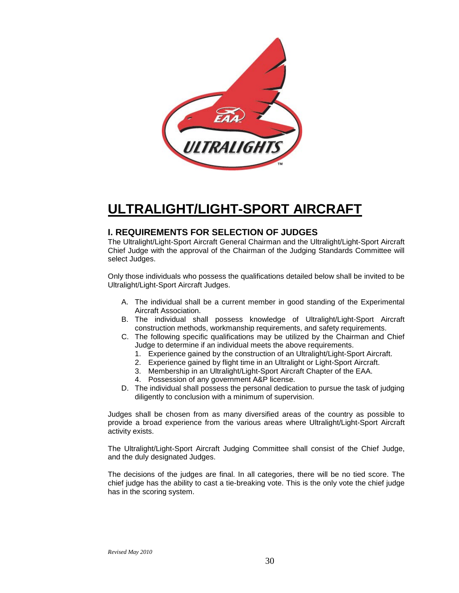

### **ULTRALIGHT/LIGHT-SPORT AIRCRAFT**

#### **I. REQUIREMENTS FOR SELECTION OF JUDGES**

The Ultralight/Light-Sport Aircraft General Chairman and the Ultralight/Light-Sport Aircraft Chief Judge with the approval of the Chairman of the Judging Standards Committee will select Judges.

Only those individuals who possess the qualifications detailed below shall be invited to be Ultralight/Light-Sport Aircraft Judges.

- A. The individual shall be a current member in good standing of the Experimental Aircraft Association.
- B. The individual shall possess knowledge of Ultralight/Light-Sport Aircraft construction methods, workmanship requirements, and safety requirements.
- C. The following specific qualifications may be utilized by the Chairman and Chief Judge to determine if an individual meets the above requirements.
	- 1. Experience gained by the construction of an Ultralight/Light-Sport Aircraft.
	- 2. Experience gained by flight time in an Ultralight or Light-Sport Aircraft.
	- 3. Membership in an Ultralight/Light-Sport Aircraft Chapter of the EAA.
	- 4. Possession of any government A&P license.
- D. The individual shall possess the personal dedication to pursue the task of judging diligently to conclusion with a minimum of supervision.

Judges shall be chosen from as many diversified areas of the country as possible to provide a broad experience from the various areas where Ultralight/Light-Sport Aircraft activity exists.

The Ultralight/Light-Sport Aircraft Judging Committee shall consist of the Chief Judge, and the duly designated Judges.

The decisions of the judges are final. In all categories, there will be no tied score. The chief judge has the ability to cast a tie-breaking vote. This is the only vote the chief judge has in the scoring system.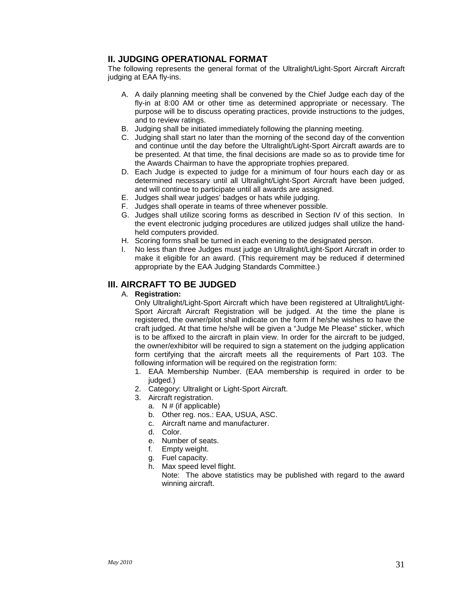#### **II. JUDGING OPERATIONAL FORMAT**

The following represents the general format of the Ultralight/Light-Sport Aircraft Aircraft judging at EAA fly-ins.

- A. A daily planning meeting shall be convened by the Chief Judge each day of the fly-in at 8:00 AM or other time as determined appropriate or necessary. The purpose will be to discuss operating practices, provide instructions to the judges, and to review ratings.
- B. Judging shall be initiated immediately following the planning meeting.
- C. Judging shall start no later than the morning of the second day of the convention and continue until the day before the Ultralight/Light-Sport Aircraft awards are to be presented. At that time, the final decisions are made so as to provide time for the Awards Chairman to have the appropriate trophies prepared.
- D. Each Judge is expected to judge for a minimum of four hours each day or as determined necessary until all Ultralight/Light-Sport Aircraft have been judged, and will continue to participate until all awards are assigned.
- E. Judges shall wear judges' badges or hats while judging.
- F. Judges shall operate in teams of three whenever possible.
- G. Judges shall utilize scoring forms as described in Section IV of this section. In the event electronic judging procedures are utilized judges shall utilize the handheld computers provided.
- H. Scoring forms shall be turned in each evening to the designated person.
- I. No less than three Judges must judge an Ultralight/Light-Sport Aircraft in order to make it eligible for an award. (This requirement may be reduced if determined appropriate by the EAA Judging Standards Committee.)

#### **III. AIRCRAFT TO BE JUDGED**

A. **Registration:**

Only Ultralight/Light-Sport Aircraft which have been registered at Ultralight/Light-Sport Aircraft Aircraft Registration will be judged. At the time the plane is registered, the owner/pilot shall indicate on the form if he/she wishes to have the craft judged. At that time he/she will be given a "Judge Me Please" sticker, which is to be affixed to the aircraft in plain view. In order for the aircraft to be judged, the owner/exhibitor will be required to sign a statement on the judging application form certifying that the aircraft meets all the requirements of Part 103. The following information will be required on the registration form:

- 1. EAA Membership Number. (EAA membership is required in order to be judged.)
- 2. Category: Ultralight or Light-Sport Aircraft.
- 3. Aircraft registration.
	- a.  $N \#$  (if applicable)
	- b. Other reg. nos.: EAA, USUA, ASC.
	- c. Aircraft name and manufacturer.
	- d. Color.
	- e. Number of seats.
	- f. Empty weight.
	- g. Fuel capacity.
	- h. Max speed level flight.

Note: The above statistics may be published with regard to the award winning aircraft.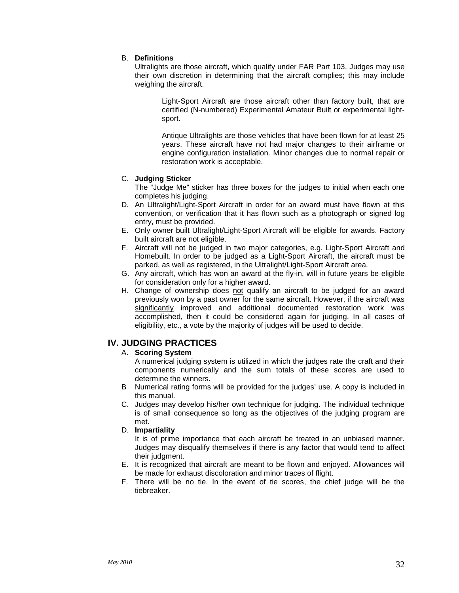#### B. **Definitions**

Ultralights are those aircraft, which qualify under FAR Part 103. Judges may use their own discretion in determining that the aircraft complies; this may include weighing the aircraft.

Light-Sport Aircraft are those aircraft other than factory built, that are certified (N-numbered) Experimental Amateur Built or experimental lightsport.

Antique Ultralights are those vehicles that have been flown for at least 25 years. These aircraft have not had major changes to their airframe or engine configuration installation. Minor changes due to normal repair or restoration work is acceptable.

#### C. **Judging Sticker**

The "Judge Me" sticker has three boxes for the judges to initial when each one completes his judging.

- D. An Ultralight/Light-Sport Aircraft in order for an award must have flown at this convention, or verification that it has flown such as a photograph or signed log entry, must be provided.
- E. Only owner built Ultralight/Light-Sport Aircraft will be eligible for awards. Factory built aircraft are not eligible.
- F. Aircraft will not be judged in two major categories, e.g. Light-Sport Aircraft and Homebuilt. In order to be judged as a Light-Sport Aircraft, the aircraft must be parked, as well as registered, in the Ultralight/Light-Sport Aircraft area.
- G. Any aircraft, which has won an award at the fly-in, will in future years be eligible for consideration only for a higher award.
- H. Change of ownership does not qualify an aircraft to be judged for an award previously won by a past owner for the same aircraft. However, if the aircraft was significantly improved and additional documented restoration work was accomplished, then it could be considered again for judging. In all cases of eligibility, etc., a vote by the majority of judges will be used to decide.

#### **IV. JUDGING PRACTICES**

#### A. **Scoring System**

A numerical judging system is utilized in which the judges rate the craft and their components numerically and the sum totals of these scores are used to determine the winners.

- B Numerical rating forms will be provided for the judges' use. A copy is included in this manual.
- C. Judges may develop his/her own technique for judging. The individual technique is of small consequence so long as the objectives of the judging program are met.

#### D. **Impartiality**

It is of prime importance that each aircraft be treated in an unbiased manner. Judges may disqualify themselves if there is any factor that would tend to affect their judgment.

- E. It is recognized that aircraft are meant to be flown and enjoyed. Allowances will be made for exhaust discoloration and minor traces of flight.
- F. There will be no tie. In the event of tie scores, the chief judge will be the tiebreaker.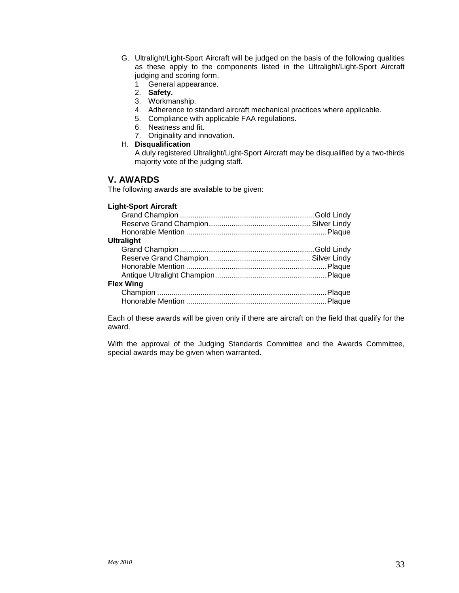G. Ultralight/Light-Sport Aircraft will be judged on the basis of the following qualities as these apply to the components listed in the Ultralight/Light-Sport Aircraft judging and scoring form.

1 General appearance.

- 2. **Safety.**
- 3. Workmanship.
- 4. Adherence to standard aircraft mechanical practices where applicable.
- 5. Compliance with applicable FAA regulations.
- 6. Neatness and fit.
- 7. Originality and innovation.
- H. **Disqualification**

A duly registered Ultralight/Light-Sport Aircraft may be disqualified by a two-thirds majority vote of the judging staff.

#### **V. AWARDS**

The following awards are available to be given:

#### **Light-Sport Aircraft**

| <b>Ultralight</b> |  |
|-------------------|--|
|                   |  |
|                   |  |
|                   |  |
|                   |  |
| <b>Flex Wing</b>  |  |
|                   |  |
|                   |  |

Each of these awards will be given only if there are aircraft on the field that qualify for the award.

With the approval of the Judging Standards Committee and the Awards Committee, special awards may be given when warranted.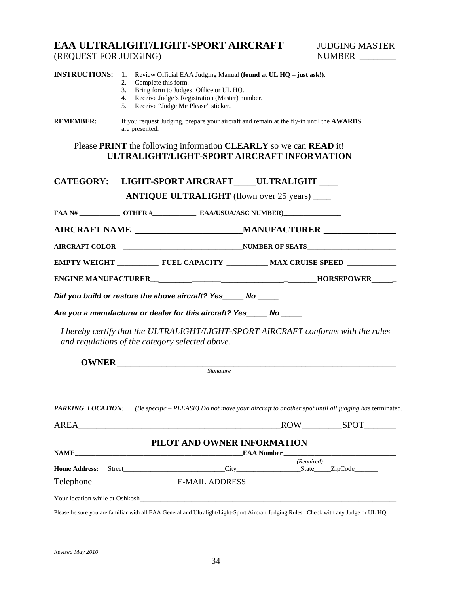#### **EAA ULTRALIGHT/LIGHT-SPORT AIRCRAFT** JUDGING MASTER (REQUEST FOR JUDGING) (REQUEST FOR JUDGING)

| <b>INSTRUCTIONS:</b>              | 1. Review Official EAA Judging Manual (found at UL HQ - just ask!).<br>Complete this form.<br>2.<br>Bring form to Judges' Office or UL HQ.<br>3.<br>Receive Judge's Registration (Master) number.<br>4.<br>Receive "Judge Me Please" sticker.<br>5. |
|-----------------------------------|-----------------------------------------------------------------------------------------------------------------------------------------------------------------------------------------------------------------------------------------------------|
| <b>REMEMBER:</b>                  | If you request Judging, prepare your aircraft and remain at the fly-in until the AWARDS<br>are presented.                                                                                                                                           |
|                                   | Please PRINT the following information CLEARLY so we can READ it!<br>ULTRALIGHT/LIGHT-SPORT AIRCRAFT INFORMATION                                                                                                                                    |
|                                   | CATEGORY: LIGHT-SPORT AIRCRAFT____ULTRALIGHT ____                                                                                                                                                                                                   |
|                                   | <b>ANTIQUE ULTRALIGHT</b> (flown over 25 years) ____                                                                                                                                                                                                |
|                                   |                                                                                                                                                                                                                                                     |
|                                   | AIRCRAFT NAME ____________________________MANUFACTURER _________________________                                                                                                                                                                    |
|                                   |                                                                                                                                                                                                                                                     |
|                                   | EMPTY WEIGHT _______________ FUEL CAPACITY _____________ MAX CRUISE SPEED ____________                                                                                                                                                              |
|                                   |                                                                                                                                                                                                                                                     |
|                                   | Did you build or restore the above aircraft? Yes_____ No _____                                                                                                                                                                                      |
|                                   | Are you a manufacturer or dealer for this aircraft? Yes_____ No _____                                                                                                                                                                               |
|                                   | I hereby certify that the ULTRALIGHT/LIGHT-SPORT AIRCRAFT conforms with the rules<br>and regulations of the category selected above.                                                                                                                |
|                                   |                                                                                                                                                                                                                                                     |
|                                   | Signature                                                                                                                                                                                                                                           |
| <b>PARKING LOCATION:</b>          | (Be specific $-$ PLEASE) Do not move your aircraft to another spot until all judging has terminated.                                                                                                                                                |
| AREA                              | ROW SPOT                                                                                                                                                                                                                                            |
|                                   | PILOT AND OWNER INFORMATION                                                                                                                                                                                                                         |
|                                   | (Required)                                                                                                                                                                                                                                          |
| <b>Home Address:</b><br>Telephone |                                                                                                                                                                                                                                                     |
|                                   |                                                                                                                                                                                                                                                     |
|                                   | Your location while at Oshkosh                                                                                                                                                                                                                      |
|                                   | Please be sure you are familiar with all EAA General and Ultralight/Light-Sport Aircraft Judging Rules. Check with any Judge or UL HQ.                                                                                                              |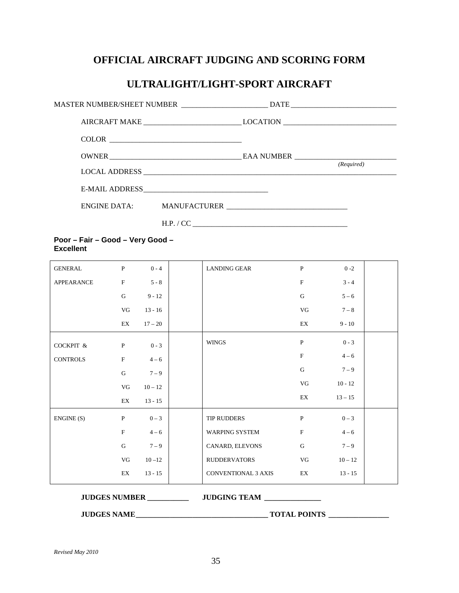#### **OFFICIAL AIRCRAFT JUDGING AND SCORING FORM**

#### **ULTRALIGHT/LIGHT-SPORT AIRCRAFT**

| MASTER NUMBER/SHEET NUMBER _________________________ DATE _______________________ |                                                                                   |            |
|-----------------------------------------------------------------------------------|-----------------------------------------------------------------------------------|------------|
|                                                                                   | AIRCRAFT MAKE ______________________________LOCATION ____________________________ |            |
|                                                                                   |                                                                                   |            |
|                                                                                   |                                                                                   | (Required) |
|                                                                                   |                                                                                   |            |
|                                                                                   |                                                                                   |            |
|                                                                                   |                                                                                   |            |
|                                                                                   |                                                                                   |            |

**Poor – Fair – Good – Very Good – Excellent**

| <b>GENERAL</b>  | $\mathbf{P}$              | $0 - 4$   | <b>LANDING GEAR</b>        | $\mathbf{P}$ | $0 - 2$   |  |
|-----------------|---------------------------|-----------|----------------------------|--------------|-----------|--|
| APPEARANCE      | $\boldsymbol{\mathrm{F}}$ | $5 - 8$   |                            | $\mathbf F$  | $3 - 4$   |  |
|                 | $\mathbf G$               | $9 - 12$  |                            | ${\bf G}$    | $5 - 6$   |  |
|                 | ${\rm VG}$                | $13 - 16$ |                            | VG           | $7-8$     |  |
|                 | EX                        | $17 - 20$ |                            | EX           | $9 - 10$  |  |
| COCKPIT &       | $\mathbf{P}$              | $0 - 3$   | <b>WINGS</b>               | $\, {\bf P}$ | $0 - 3$   |  |
| <b>CONTROLS</b> | $\mathbf F$               | $4 - 6$   |                            | $\mathbf F$  | $4 - 6$   |  |
|                 | $\mathbf G$               | $7 - 9$   |                            | $\mathbf G$  | $7 - 9$   |  |
|                 | ${\rm VG}$                | $10 - 12$ |                            | VG           | $10 - 12$ |  |
|                 | EX                        | $13 - 15$ |                            | EX           | $13 - 15$ |  |
| $ENGINE(S)$     | P                         | $0 - 3$   | TIP RUDDERS                | $\, {\bf P}$ | $0 - 3$   |  |
|                 | $\mathbf F$               | $4 - 6$   | WARPING SYSTEM             | $\mathbf F$  | $4 - 6$   |  |
|                 | ${\bf G}$                 | $7 - 9$   | CANARD, ELEVONS            | ${\bf G}$    | $7 - 9$   |  |
|                 | VG                        | $10 - 12$ | <b>RUDDERVATORS</b>        | VG           | $10 - 12$ |  |
|                 | EX                        | $13 - 15$ | <b>CONVENTIONAL 3 AXIS</b> | EX           | $13 - 15$ |  |

**JUDGES NUMBER \_\_\_\_\_\_\_\_\_\_\_ JUDGING TEAM \_\_\_\_\_\_\_\_\_\_\_\_\_\_\_**

**JUDGES NAME\_\_\_\_\_\_\_\_\_\_\_\_\_\_\_\_\_\_\_\_\_\_\_\_\_\_\_\_\_\_\_\_\_\_\_ TOTAL POINTS \_\_\_\_\_\_\_\_\_\_\_\_\_\_\_\_**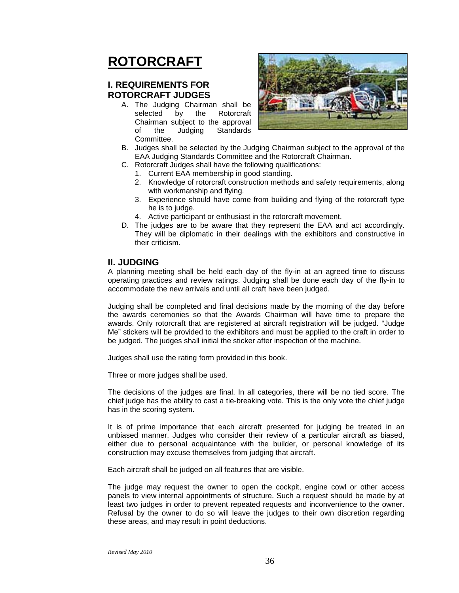### **ROTORCRAFT**

#### **I. REQUIREMENTS FOR ROTORCRAFT JUDGES**

A. The Judging Chairman shall be selected by the Rotorcraft Chairman subject to the approval of the Judging Standards Committee.



- B. Judges shall be selected by the Judging Chairman subject to the approval of the EAA Judging Standards Committee and the Rotorcraft Chairman.
- C. Rotorcraft Judges shall have the following qualifications:
	- 1. Current EAA membership in good standing.
	- 2. Knowledge of rotorcraft construction methods and safety requirements, along with workmanship and flying.
	- 3. Experience should have come from building and flying of the rotorcraft type he is to judge.
	- 4. Active participant or enthusiast in the rotorcraft movement.
- D. The judges are to be aware that they represent the EAA and act accordingly. They will be diplomatic in their dealings with the exhibitors and constructive in their criticism.

#### **II. JUDGING**

A planning meeting shall be held each day of the fly-in at an agreed time to discuss operating practices and review ratings. Judging shall be done each day of the fly-in to accommodate the new arrivals and until all craft have been judged.

Judging shall be completed and final decisions made by the morning of the day before the awards ceremonies so that the Awards Chairman will have time to prepare the awards. Only rotorcraft that are registered at aircraft registration will be judged. "Judge Me" stickers will be provided to the exhibitors and must be applied to the craft in order to be judged. The judges shall initial the sticker after inspection of the machine.

Judges shall use the rating form provided in this book.

Three or more judges shall be used.

The decisions of the judges are final. In all categories, there will be no tied score. The chief judge has the ability to cast a tie-breaking vote. This is the only vote the chief judge has in the scoring system.

It is of prime importance that each aircraft presented for judging be treated in an unbiased manner. Judges who consider their review of a particular aircraft as biased, either due to personal acquaintance with the builder, or personal knowledge of its construction may excuse themselves from judging that aircraft.

Each aircraft shall be judged on all features that are visible.

The judge may request the owner to open the cockpit, engine cowl or other access panels to view internal appointments of structure. Such a request should be made by at least two judges in order to prevent repeated requests and inconvenience to the owner. Refusal by the owner to do so will leave the judges to their own discretion regarding these areas, and may result in point deductions.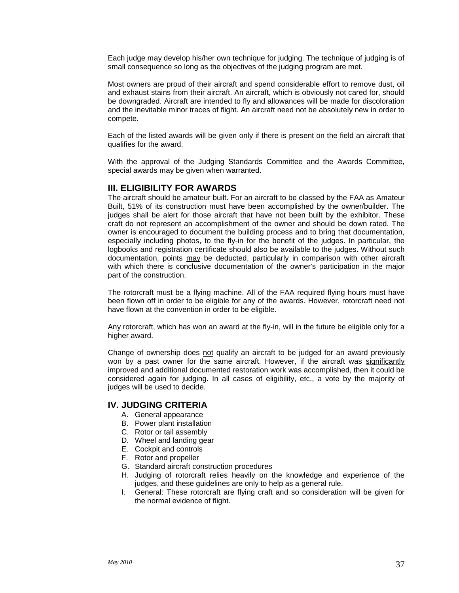Each judge may develop his/her own technique for judging. The technique of judging is of small consequence so long as the objectives of the judging program are met.

Most owners are proud of their aircraft and spend considerable effort to remove dust, oil and exhaust stains from their aircraft. An aircraft, which is obviously not cared for, should be downgraded. Aircraft are intended to fly and allowances will be made for discoloration and the inevitable minor traces of flight. An aircraft need not be absolutely new in order to compete.

Each of the listed awards will be given only if there is present on the field an aircraft that qualifies for the award.

With the approval of the Judging Standards Committee and the Awards Committee, special awards may be given when warranted.

#### **III. ELIGIBILITY FOR AWARDS**

The aircraft should be amateur built. For an aircraft to be classed by the FAA as Amateur Built, 51% of its construction must have been accomplished by the owner/builder. The judges shall be alert for those aircraft that have not been built by the exhibitor. These craft do not represent an accomplishment of the owner and should be down rated. The owner is encouraged to document the building process and to bring that documentation, especially including photos, to the fly-in for the benefit of the judges. In particular, the logbooks and registration certificate should also be available to the judges. Without such documentation, points may be deducted, particularly in comparison with other aircraft with which there is conclusive documentation of the owner's participation in the major part of the construction.

The rotorcraft must be a flying machine. All of the FAA required flying hours must have been flown off in order to be eligible for any of the awards. However, rotorcraft need not have flown at the convention in order to be eligible.

Any rotorcraft, which has won an award at the fly-in, will in the future be eligible only for a higher award.

Change of ownership does not qualify an aircraft to be judged for an award previously won by a past owner for the same aircraft. However, if the aircraft was significantly improved and additional documented restoration work was accomplished, then it could be considered again for judging. In all cases of eligibility, etc., a vote by the majority of judges will be used to decide.

#### **IV. JUDGING CRITERIA**

- A. General appearance
- B. Power plant installation
- C. Rotor or tail assembly
- D. Wheel and landing gear
- E. Cockpit and controls
- F. Rotor and propeller
- G. Standard aircraft construction procedures
- H. Judging of rotorcraft relies heavily on the knowledge and experience of the judges, and these guidelines are only to help as a general rule.
- I. General: These rotorcraft are flying craft and so consideration will be given for the normal evidence of flight.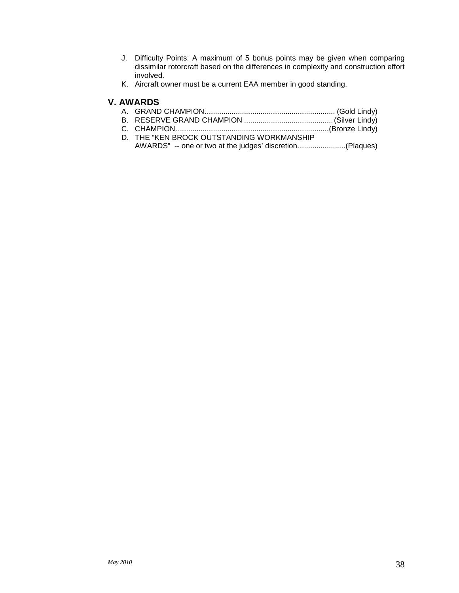- J. Difficulty Points: A maximum of 5 bonus points may be given when comparing dissimilar rotorcraft based on the differences in complexity and construction effort involved.
- K. Aircraft owner must be a current EAA member in good standing.

#### **V. AWARDS**

- A. GRAND CHAMPION............................................................... (Gold Lindy)
- B. RESERVE GRAND CHAMPION ...........................................(Silver Lindy)
- C. CHAMPION..........................................................................(Bronze Lindy)
- D. THE "KEN BROCK OUTSTANDING WORKMANSHIP AWARDS" -- one or two at the judges' discretion.......................(Plaques)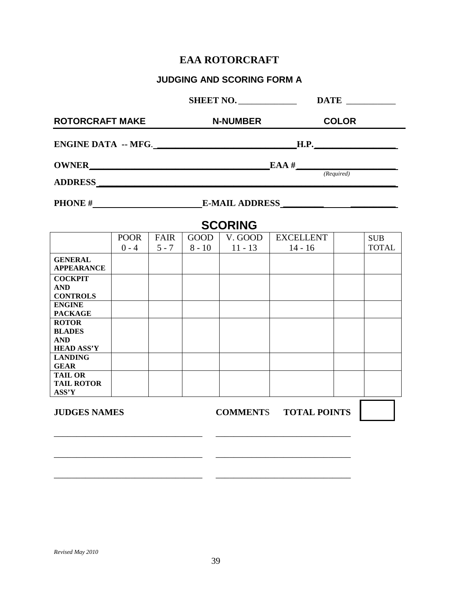#### **EAA ROTORCRAFT**

#### **JUDGING AND SCORING FORM A**

| <b>ROTORCRAFT MAKE</b>                                                 |                        | <b>N-NUMBER</b> |                         | <b>COLOR</b>                                  |                               |  |                            |  |
|------------------------------------------------------------------------|------------------------|-----------------|-------------------------|-----------------------------------------------|-------------------------------|--|----------------------------|--|
| ENGINE DATA -- MFG.                                                    |                        |                 |                         |                                               |                               |  |                            |  |
|                                                                        |                        |                 |                         | $\textbf{CNNER}$ EAA #<br>EAA #<br>(Required) |                               |  |                            |  |
|                                                                        |                        |                 |                         |                                               |                               |  |                            |  |
|                                                                        |                        |                 |                         |                                               | PHONE # E-MAIL ADDRESS        |  |                            |  |
|                                                                        |                        |                 |                         | <b>SCORING</b>                                |                               |  |                            |  |
|                                                                        | <b>POOR</b><br>$0 - 4$ | FAIR<br>$5 - 7$ | <b>GOOD</b><br>$8 - 10$ | V. GOOD<br>$11 - 13$                          | <b>EXCELLENT</b><br>$14 - 16$ |  | <b>SUB</b><br><b>TOTAL</b> |  |
| <b>GENERAL</b><br><b>APPEARANCE</b>                                    |                        |                 |                         |                                               |                               |  |                            |  |
| <b>COCKPIT</b><br><b>AND</b><br><b>CONTROLS</b>                        |                        |                 |                         |                                               |                               |  |                            |  |
| <b>ENGINE</b><br><b>PACKAGE</b>                                        |                        |                 |                         |                                               |                               |  |                            |  |
| <b>ROTOR</b><br><b>BLADES</b><br><b>AND</b><br><b>HEAD ASS'Y</b>       |                        |                 |                         |                                               |                               |  |                            |  |
| <b>LANDING</b><br><b>GEAR</b>                                          |                        |                 |                         |                                               |                               |  |                            |  |
| <b>TAIL OR</b><br><b>TAIL ROTOR</b><br>$\mathbf{ASS}^{\ast}\mathbf{Y}$ |                        |                 |                         |                                               |                               |  |                            |  |
| <b>JUDGES NAMES</b>                                                    |                        |                 |                         |                                               | <b>COMMENTS TOTAL POINTS</b>  |  |                            |  |
|                                                                        |                        |                 |                         |                                               |                               |  |                            |  |
|                                                                        |                        |                 |                         |                                               |                               |  |                            |  |
|                                                                        |                        |                 |                         |                                               |                               |  |                            |  |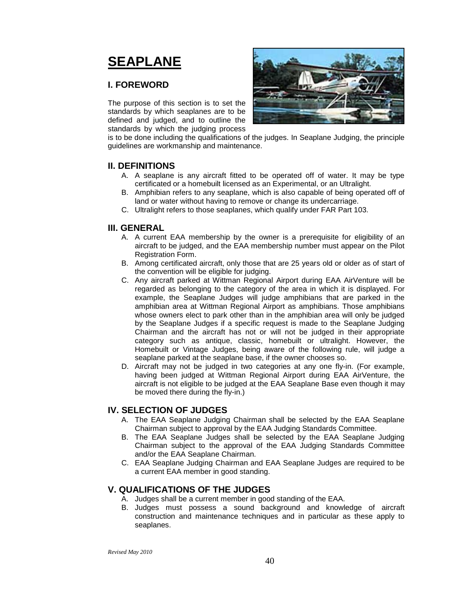### **SEAPLANE**

#### **I. FOREWORD**

The purpose of this section is to set the standards by which seaplanes are to be defined and judged, and to outline the standards by which the judging process



is to be done including the qualifications of the judges. In Seaplane Judging, the principle guidelines are workmanship and maintenance.

#### **II. DEFINITIONS**

- A. A seaplane is any aircraft fitted to be operated off of water. It may be type certificated or a homebuilt licensed as an Experimental, or an Ultralight.
- B. Amphibian refers to any seaplane, which is also capable of being operated off of land or water without having to remove or change its undercarriage.
- C. Ultralight refers to those seaplanes, which qualify under FAR Part 103.

#### **III. GENERAL**

- A. A current EAA membership by the owner is a prerequisite for eligibility of an aircraft to be judged, and the EAA membership number must appear on the Pilot Registration Form.
- B. Among certificated aircraft, only those that are 25 years old or older as of start of the convention will be eligible for judging.
- C. Any aircraft parked at Wittman Regional Airport during EAA AirVenture will be regarded as belonging to the category of the area in which it is displayed. For example, the Seaplane Judges will judge amphibians that are parked in the amphibian area at Wittman Regional Airport as amphibians. Those amphibians whose owners elect to park other than in the amphibian area will only be judged by the Seaplane Judges if a specific request is made to the Seaplane Judging Chairman and the aircraft has not or will not be judged in their appropriate category such as antique, classic, homebuilt or ultralight. However, the Homebuilt or Vintage Judges, being aware of the following rule, will judge a seaplane parked at the seaplane base, if the owner chooses so.
- D. Aircraft may not be judged in two categories at any one fly-in. (For example, having been judged at Wittman Regional Airport during EAA AirVenture, the aircraft is not eligible to be judged at the EAA Seaplane Base even though it may be moved there during the fly-in.)

#### **IV. SELECTION OF JUDGES**

- A. The EAA Seaplane Judging Chairman shall be selected by the EAA Seaplane Chairman subject to approval by the EAA Judging Standards Committee.
- B. The EAA Seaplane Judges shall be selected by the EAA Seaplane Judging Chairman subject to the approval of the EAA Judging Standards Committee and/or the EAA Seaplane Chairman.
- C. EAA Seaplane Judging Chairman and EAA Seaplane Judges are required to be a current EAA member in good standing.

#### **V. QUALIFICATIONS OF THE JUDGES**

- A. Judges shall be a current member in good standing of the EAA.
- B. Judges must possess a sound background and knowledge of aircraft construction and maintenance techniques and in particular as these apply to seaplanes.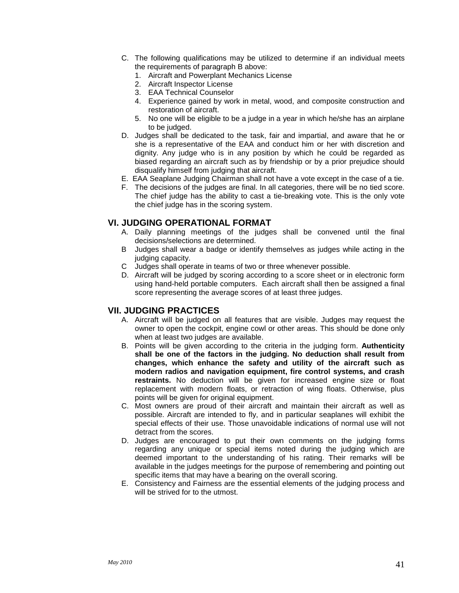- C. The following qualifications may be utilized to determine if an individual meets the requirements of paragraph B above:
	- 1. Aircraft and Powerplant Mechanics License
	- 2. Aircraft Inspector License
	- 3. EAA Technical Counselor
	- 4. Experience gained by work in metal, wood, and composite construction and restoration of aircraft.
	- 5. No one will be eligible to be a judge in a year in which he/she has an airplane to be judged.
- D. Judges shall be dedicated to the task, fair and impartial, and aware that he or she is a representative of the EAA and conduct him or her with discretion and dignity. Any judge who is in any position by which he could be regarded as biased regarding an aircraft such as by friendship or by a prior prejudice should disqualify himself from judging that aircraft.
- E. EAA Seaplane Judging Chairman shall not have a vote except in the case of a tie.
- F. The decisions of the judges are final. In all categories, there will be no tied score. The chief judge has the ability to cast a tie-breaking vote. This is the only vote the chief judge has in the scoring system.

#### **VI. JUDGING OPERATIONAL FORMAT**

- A. Daily planning meetings of the judges shall be convened until the final decisions/selections are determined.
- B Judges shall wear a badge or identify themselves as judges while acting in the judging capacity.
- C Judges shall operate in teams of two or three whenever possible.
- D. Aircraft will be judged by scoring according to a score sheet or in electronic form using hand-held portable computers. Each aircraft shall then be assigned a final score representing the average scores of at least three judges.

#### **VII. JUDGING PRACTICES**

- A. Aircraft will be judged on all features that are visible. Judges may request the owner to open the cockpit, engine cowl or other areas. This should be done only when at least two judges are available.
- B. Points will be given according to the criteria in the judging form. **Authenticity shall be one of the factors in the judging. No deduction shall result from changes, which enhance the safety and utility of the aircraft such as modern radios and navigation equipment, fire control systems, and crash restraints.** No deduction will be given for increased engine size or float replacement with modern floats, or retraction of wing floats. Otherwise, plus points will be given for original equipment.
- C. Most owners are proud of their aircraft and maintain their aircraft as well as possible. Aircraft are intended to fly, and in particular seaplanes will exhibit the special effects of their use. Those unavoidable indications of normal use will not detract from the scores.
- D. Judges are encouraged to put their own comments on the judging forms regarding any unique or special items noted during the judging which are deemed important to the understanding of his rating. Their remarks will be available in the judges meetings for the purpose of remembering and pointing out specific items that may have a bearing on the overall scoring.
- E. Consistency and Fairness are the essential elements of the judging process and will be strived for to the utmost.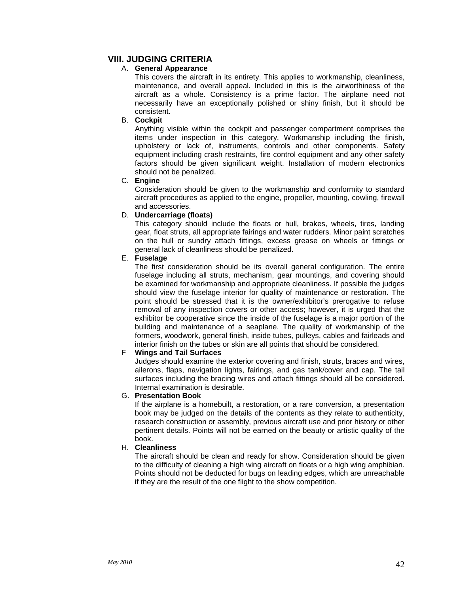#### **VIII. JUDGING CRITERIA**

#### A. **General Appearance**

This covers the aircraft in its entirety. This applies to workmanship, cleanliness, maintenance, and overall appeal. Included in this is the airworthiness of the aircraft as a whole. Consistency is a prime factor. The airplane need not necessarily have an exceptionally polished or shiny finish, but it should be consistent.

#### B. **Cockpit**

Anything visible within the cockpit and passenger compartment comprises the items under inspection in this category. Workmanship including the finish, upholstery or lack of, instruments, controls and other components. Safety equipment including crash restraints, fire control equipment and any other safety factors should be given significant weight. Installation of modern electronics should not be penalized.

#### C. **Engine**

Consideration should be given to the workmanship and conformity to standard aircraft procedures as applied to the engine, propeller, mounting, cowling, firewall and accessories.

#### D. **Undercarriage (floats)**

This category should include the floats or hull, brakes, wheels, tires, landing gear, float struts, all appropriate fairings and water rudders. Minor paint scratches on the hull or sundry attach fittings, excess grease on wheels or fittings or general lack of cleanliness should be penalized.

#### E. **Fuselage**

The first consideration should be its overall general configuration. The entire fuselage including all struts, mechanism, gear mountings, and covering should be examined for workmanship and appropriate cleanliness. If possible the judges should view the fuselage interior for quality of maintenance or restoration. The point should be stressed that it is the owner/exhibitor's prerogative to refuse removal of any inspection covers or other access; however, it is urged that the exhibitor be cooperative since the inside of the fuselage is a major portion of the building and maintenance of a seaplane. The quality of workmanship of the formers, woodwork, general finish, inside tubes, pulleys, cables and fairleads and interior finish on the tubes or skin are all points that should be considered.

#### F **Wings and Tail Surfaces**

Judges should examine the exterior covering and finish, struts, braces and wires, ailerons, flaps, navigation lights, fairings, and gas tank/cover and cap. The tail surfaces including the bracing wires and attach fittings should all be considered. Internal examination is desirable.

#### G. **Presentation Book**

If the airplane is a homebuilt, a restoration, or a rare conversion, a presentation book may be judged on the details of the contents as they relate to authenticity, research construction or assembly, previous aircraft use and prior history or other pertinent details. Points will not be earned on the beauty or artistic quality of the book.

#### H. **Cleanliness**

The aircraft should be clean and ready for show. Consideration should be given to the difficulty of cleaning a high wing aircraft on floats or a high wing amphibian. Points should not be deducted for bugs on leading edges, which are unreachable if they are the result of the one flight to the show competition.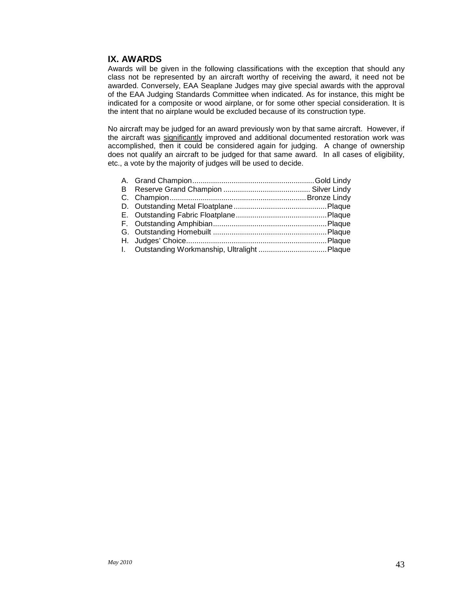#### **IX. AWARDS**

Awards will be given in the following classifications with the exception that should any class not be represented by an aircraft worthy of receiving the award, it need not be awarded. Conversely, EAA Seaplane Judges may give special awards with the approval of the EAA Judging Standards Committee when indicated. As for instance, this might be indicated for a composite or wood airplane, or for some other special consideration. It is the intent that no airplane would be excluded because of its construction type.

No aircraft may be judged for an award previously won by that same aircraft. However, if the aircraft was significantly improved and additional documented restoration work was accomplished, then it could be considered again for judging. A change of ownership does not qualify an aircraft to be judged for that same award. In all cases of eligibility, etc., a vote by the majority of judges will be used to decide.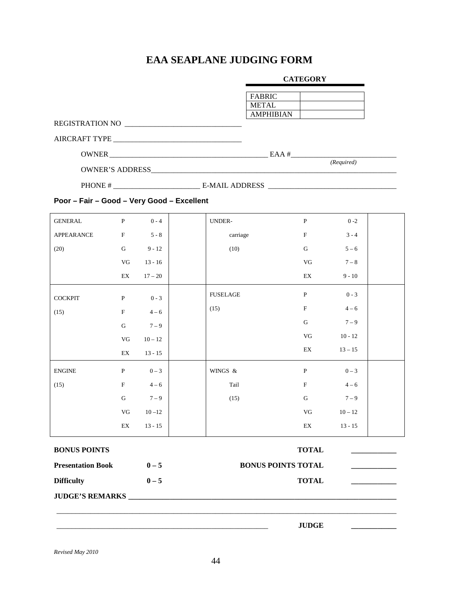### **EAA SEAPLANE JUDGING FORM**

#### **CATEGORY**

|                                            |                |         |                       | <b>FABRIC</b> |                               |         |  |
|--------------------------------------------|----------------|---------|-----------------------|---------------|-------------------------------|---------|--|
|                                            |                |         |                       | METAL         |                               |         |  |
|                                            |                |         |                       | AMPHIBIAN     |                               |         |  |
|                                            |                |         |                       |               |                               |         |  |
|                                            |                |         |                       |               |                               |         |  |
|                                            |                |         |                       |               |                               |         |  |
|                                            |                |         |                       |               | (Required)                    |         |  |
|                                            |                |         |                       |               |                               |         |  |
| Poor - Fair - Good - Very Good - Excellent |                |         |                       |               |                               |         |  |
| GENERAL                                    | $P \t\t 0 - 4$ |         | UNDER-                |               | P                             | $0 - 2$ |  |
| A PPE A RANCE                              | $\mathbf{F}$   | $5 - 8$ | $carri \alpha \alpha$ |               | $\mathbf{F}$ and $\mathbf{F}$ | $3 - 4$ |  |

| <b>APPEARANCE</b>        | $\mathbf F$                | $5 - 8$   | carriage        | $\mathbf F$                | $3 - 4$   |  |
|--------------------------|----------------------------|-----------|-----------------|----------------------------|-----------|--|
| (20)                     | ${\bf G}$                  | $9 - 12$  | (10)            | ${\bf G}$                  | $5 - 6$   |  |
|                          | ${\rm VG}$                 | $13 - 16$ |                 | ${\rm VG}$                 | $7 - 8$   |  |
|                          | $\mathop{\rm EX}\nolimits$ | $17 - 20$ |                 | $\mathop{\rm EX}\nolimits$ | $9 - 10$  |  |
| <b>COCKPIT</b>           | ${\bf P}$                  | $0 - 3$   | <b>FUSELAGE</b> | $\, {\bf P}$               | $0 - 3$   |  |
| (15)                     | $\mathbf F$                | $4 - 6$   | (15)            | $\mathbf F$                | $4 - 6$   |  |
|                          | ${\bf G}$                  | $7 - 9$   |                 | ${\bf G}$                  | $7 - 9$   |  |
|                          | $\rm{VG}$                  | $10 - 12$ |                 | VG                         | $10 - 12$ |  |
|                          | $\mathop{\rm EX}\nolimits$ | $13 - 15$ |                 | $\mathop{\rm EX}\nolimits$ | $13 - 15$ |  |
| ${\rm ENGINE}$           | $\, {\bf P}$               | $0 - 3$   | WINGS &         | ${\bf P}$                  | $0-3$     |  |
| (15)                     | $\mathbf F$                | $4 - 6$   | Tail            | $\mathbf F$                | $4 - 6$   |  |
|                          | $\mathbf G$                | $7 - 9$   | (15)            | ${\bf G}$                  | $7 - 9$   |  |
|                          | ${\rm V}{\rm G}$           | $10 - 12$ |                 | $\rm{VG}$                  | $10 - 12$ |  |
|                          | $\mathop{\rm EX}\nolimits$ | $13 - 15$ |                 | $\mathop{\rm EX}\nolimits$ | $13 - 15$ |  |
| <b>BONUS POINTS</b>      |                            |           |                 | <b>TOTAL</b>               |           |  |
| <b>Presentation Book</b> |                            | $0-5$     |                 | <b>BONUS POINTS TOTAL</b>  |           |  |
| <b>Difficulty</b>        |                            | $0-5$     |                 | <b>TOTAL</b>               |           |  |
| <b>JUDGE'S REMARKS</b>   |                            |           |                 |                            |           |  |
|                          |                            |           |                 |                            |           |  |

\_\_\_\_\_\_\_\_\_\_\_\_\_\_\_\_\_\_\_\_\_\_\_\_\_\_\_\_\_\_\_\_\_\_\_\_\_\_\_\_\_\_\_\_\_\_\_\_\_\_\_\_\_\_\_\_ **JUDGE \_\_\_\_\_\_\_\_\_\_\_\_**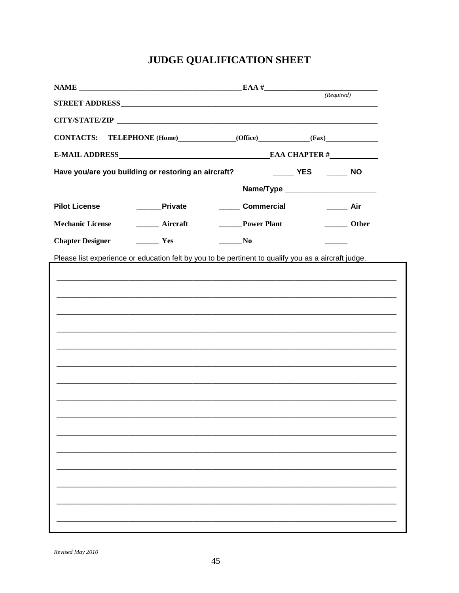### JUDGE QUALIFICATION SHEET

| $\begin{array}{c}\n\textbf{NAME}\n\end{array}\n\qquad \qquad \begin{array}{c}\n\textbf{EAA}\n\end{array}\n\qquad \qquad \begin{array}{c}\n\textbf{EAA}\n\end{array}\n\qquad \qquad \begin{array}{c}\n\textbf{(Required)}\n\end{array}$                                                                                                                                                                                                          |                                                                                                                                                                                                                                                                                                                                                                                                                      |                                      |                   |  |  |  |  |
|-------------------------------------------------------------------------------------------------------------------------------------------------------------------------------------------------------------------------------------------------------------------------------------------------------------------------------------------------------------------------------------------------------------------------------------------------|----------------------------------------------------------------------------------------------------------------------------------------------------------------------------------------------------------------------------------------------------------------------------------------------------------------------------------------------------------------------------------------------------------------------|--------------------------------------|-------------------|--|--|--|--|
|                                                                                                                                                                                                                                                                                                                                                                                                                                                 |                                                                                                                                                                                                                                                                                                                                                                                                                      |                                      |                   |  |  |  |  |
|                                                                                                                                                                                                                                                                                                                                                                                                                                                 |                                                                                                                                                                                                                                                                                                                                                                                                                      |                                      |                   |  |  |  |  |
| CONTACTS: TELEPHONE (Home) (Office) (Fax)                                                                                                                                                                                                                                                                                                                                                                                                       |                                                                                                                                                                                                                                                                                                                                                                                                                      |                                      |                   |  |  |  |  |
| E-MAIL ADDRESS EMAIL AND RESS EAR CHAPTER #                                                                                                                                                                                                                                                                                                                                                                                                     |                                                                                                                                                                                                                                                                                                                                                                                                                      |                                      |                   |  |  |  |  |
| Have you/are you building or restoring an aircraft?                                                                                                                                                                                                                                                                                                                                                                                             |                                                                                                                                                                                                                                                                                                                                                                                                                      | ______ YES ______ NO                 |                   |  |  |  |  |
|                                                                                                                                                                                                                                                                                                                                                                                                                                                 |                                                                                                                                                                                                                                                                                                                                                                                                                      | Name/Type __________________________ |                   |  |  |  |  |
| <b>Pilot License</b>                                                                                                                                                                                                                                                                                                                                                                                                                            | <b>Private</b>                                                                                                                                                                                                                                                                                                                                                                                                       | <b>Commercial</b>                    | $\frac{1}{2}$ Air |  |  |  |  |
| <b>Mechanic License</b>                                                                                                                                                                                                                                                                                                                                                                                                                         | <b>Aircraft</b>                                                                                                                                                                                                                                                                                                                                                                                                      |                                      | <b>Other</b>      |  |  |  |  |
| $\frac{1}{\sqrt{1-\frac{1}{2}}\sqrt{1-\frac{1}{2}}\sqrt{1-\frac{1}{2}}\sqrt{1-\frac{1}{2}}\sqrt{1-\frac{1}{2}}\sqrt{1-\frac{1}{2}}\sqrt{1-\frac{1}{2}}\sqrt{1-\frac{1}{2}}\sqrt{1-\frac{1}{2}}\sqrt{1-\frac{1}{2}}\sqrt{1-\frac{1}{2}}\sqrt{1-\frac{1}{2}}\sqrt{1-\frac{1}{2}}\sqrt{1-\frac{1}{2}}\sqrt{1-\frac{1}{2}}\sqrt{1-\frac{1}{2}}\sqrt{1-\frac{1}{2}}\sqrt{1-\frac{1}{2}}\sqrt{1-\frac{1}{2}}\sqrt{1-\frac$<br><b>Chapter Designer</b> | $\frac{1}{\sqrt{1-\frac{1}{2}}\sqrt{1-\frac{1}{2}}\sqrt{1-\frac{1}{2}}\sqrt{1-\frac{1}{2}}\sqrt{1-\frac{1}{2}}\sqrt{1-\frac{1}{2}}\sqrt{1-\frac{1}{2}}\sqrt{1-\frac{1}{2}}\sqrt{1-\frac{1}{2}}\sqrt{1-\frac{1}{2}}\sqrt{1-\frac{1}{2}}\sqrt{1-\frac{1}{2}}\sqrt{1-\frac{1}{2}}\sqrt{1-\frac{1}{2}}\sqrt{1-\frac{1}{2}}\sqrt{1-\frac{1}{2}}\sqrt{1-\frac{1}{2}}\sqrt{1-\frac{1}{2}}\sqrt{1-\frac{1}{2}}\sqrt{1-\frac$ |                                      |                   |  |  |  |  |
| Please list experience or education felt by you to be pertinent to qualify you as a aircraft judge.                                                                                                                                                                                                                                                                                                                                             |                                                                                                                                                                                                                                                                                                                                                                                                                      |                                      |                   |  |  |  |  |
|                                                                                                                                                                                                                                                                                                                                                                                                                                                 |                                                                                                                                                                                                                                                                                                                                                                                                                      |                                      |                   |  |  |  |  |
|                                                                                                                                                                                                                                                                                                                                                                                                                                                 |                                                                                                                                                                                                                                                                                                                                                                                                                      |                                      |                   |  |  |  |  |
|                                                                                                                                                                                                                                                                                                                                                                                                                                                 |                                                                                                                                                                                                                                                                                                                                                                                                                      |                                      |                   |  |  |  |  |
|                                                                                                                                                                                                                                                                                                                                                                                                                                                 |                                                                                                                                                                                                                                                                                                                                                                                                                      |                                      |                   |  |  |  |  |
|                                                                                                                                                                                                                                                                                                                                                                                                                                                 |                                                                                                                                                                                                                                                                                                                                                                                                                      |                                      |                   |  |  |  |  |
|                                                                                                                                                                                                                                                                                                                                                                                                                                                 |                                                                                                                                                                                                                                                                                                                                                                                                                      |                                      |                   |  |  |  |  |
|                                                                                                                                                                                                                                                                                                                                                                                                                                                 |                                                                                                                                                                                                                                                                                                                                                                                                                      |                                      |                   |  |  |  |  |
|                                                                                                                                                                                                                                                                                                                                                                                                                                                 |                                                                                                                                                                                                                                                                                                                                                                                                                      |                                      |                   |  |  |  |  |
|                                                                                                                                                                                                                                                                                                                                                                                                                                                 |                                                                                                                                                                                                                                                                                                                                                                                                                      |                                      |                   |  |  |  |  |
|                                                                                                                                                                                                                                                                                                                                                                                                                                                 |                                                                                                                                                                                                                                                                                                                                                                                                                      |                                      |                   |  |  |  |  |
|                                                                                                                                                                                                                                                                                                                                                                                                                                                 |                                                                                                                                                                                                                                                                                                                                                                                                                      |                                      |                   |  |  |  |  |
|                                                                                                                                                                                                                                                                                                                                                                                                                                                 |                                                                                                                                                                                                                                                                                                                                                                                                                      |                                      |                   |  |  |  |  |
|                                                                                                                                                                                                                                                                                                                                                                                                                                                 |                                                                                                                                                                                                                                                                                                                                                                                                                      |                                      |                   |  |  |  |  |
|                                                                                                                                                                                                                                                                                                                                                                                                                                                 |                                                                                                                                                                                                                                                                                                                                                                                                                      |                                      |                   |  |  |  |  |
|                                                                                                                                                                                                                                                                                                                                                                                                                                                 |                                                                                                                                                                                                                                                                                                                                                                                                                      |                                      |                   |  |  |  |  |
|                                                                                                                                                                                                                                                                                                                                                                                                                                                 |                                                                                                                                                                                                                                                                                                                                                                                                                      |                                      |                   |  |  |  |  |

Revised May 2010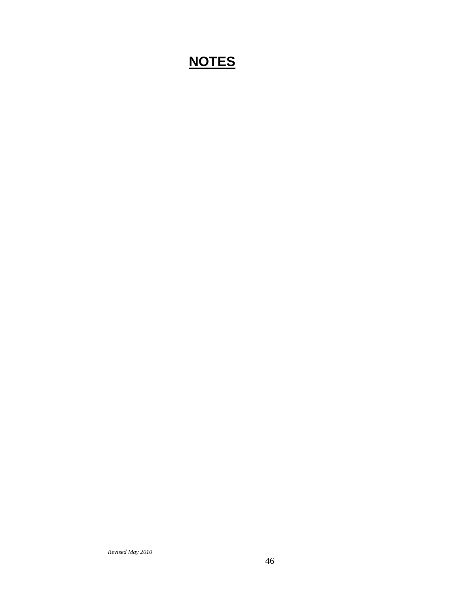### **NOTES**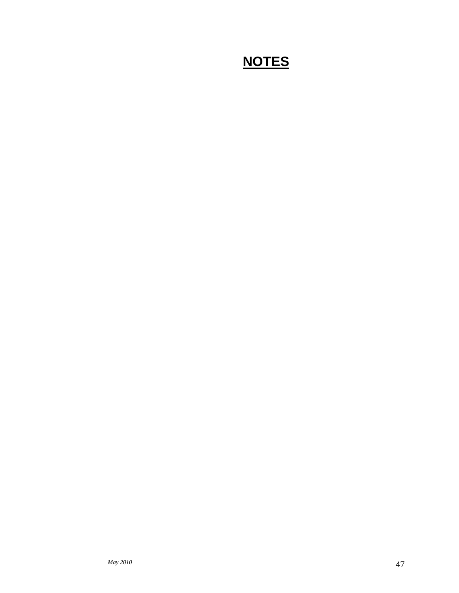### **NOTES**